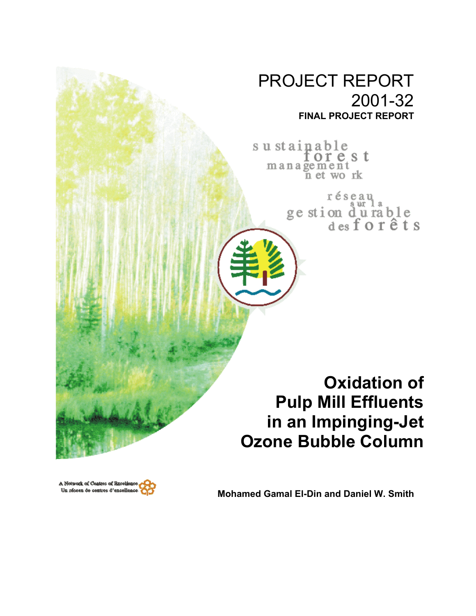# PROJECT REPORT 2001-32 **FINAL PROJECT REPORT**

sustainable<br>for e s t management<br>n et work

> réseau ge stion durable<br>desforêts

**Oxidation of Pulp Mill Effluents in an Impinging-Jet Ozone Bubble Column**



**Mohamed Gamal El-Din and Daniel W. Smith**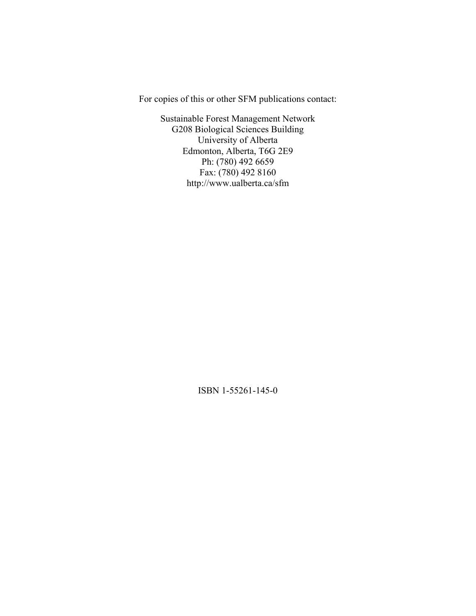For copies of this or other SFM publications contact:

Sustainable Forest Management Network G208 Biological Sciences Building University of Alberta Edmonton, Alberta, T6G 2E9 Ph: (780) 492 6659 Fax: (780) 492 8160 http://www.ualberta.ca/sfm

ISBN 1-55261-145-0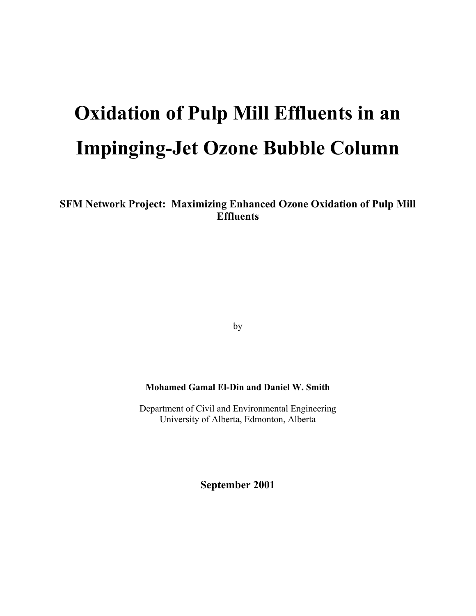# **Oxidation of Pulp Mill Effluents in an Impinging-Jet Ozone Bubble Column**

**SFM Network Project: Maximizing Enhanced Ozone Oxidation of Pulp Mill Effluents** 

by

# **Mohamed Gamal El-Din and Daniel W. Smith**

Department of Civil and Environmental Engineering University of Alberta, Edmonton, Alberta

**September 2001**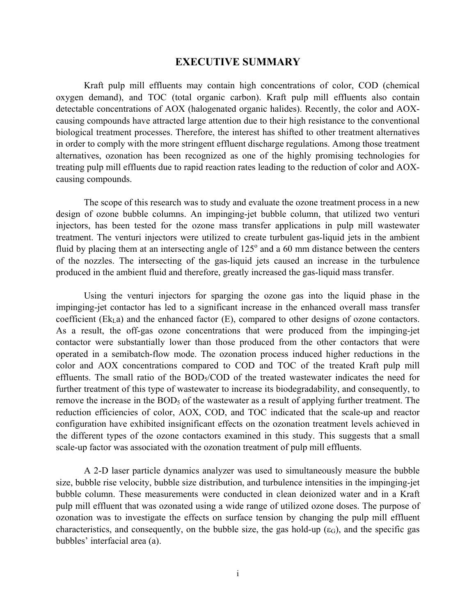# **EXECUTIVE SUMMARY**

Kraft pulp mill effluents may contain high concentrations of color, COD (chemical oxygen demand), and TOC (total organic carbon). Kraft pulp mill effluents also contain detectable concentrations of AOX (halogenated organic halides). Recently, the color and AOXcausing compounds have attracted large attention due to their high resistance to the conventional biological treatment processes. Therefore, the interest has shifted to other treatment alternatives in order to comply with the more stringent effluent discharge regulations. Among those treatment alternatives, ozonation has been recognized as one of the highly promising technologies for treating pulp mill effluents due to rapid reaction rates leading to the reduction of color and AOXcausing compounds.

The scope of this research was to study and evaluate the ozone treatment process in a new design of ozone bubble columns. An impinging-jet bubble column, that utilized two venturi injectors, has been tested for the ozone mass transfer applications in pulp mill wastewater treatment. The venturi injectors were utilized to create turbulent gas-liquid jets in the ambient fluid by placing them at an intersecting angle of  $125^\circ$  and a 60 mm distance between the centers of the nozzles. The intersecting of the gas-liquid jets caused an increase in the turbulence produced in the ambient fluid and therefore, greatly increased the gas-liquid mass transfer.

Using the venturi injectors for sparging the ozone gas into the liquid phase in the impinging-jet contactor has led to a significant increase in the enhanced overall mass transfer coefficient ( $Ek<sub>L</sub>a$ ) and the enhanced factor ( $E$ ), compared to other designs of ozone contactors. As a result, the off-gas ozone concentrations that were produced from the impinging-jet contactor were substantially lower than those produced from the other contactors that were operated in a semibatch-flow mode. The ozonation process induced higher reductions in the color and AOX concentrations compared to COD and TOC of the treated Kraft pulp mill effluents. The small ratio of the  $BOD<sub>5</sub>/COD$  of the treated wastewater indicates the need for further treatment of this type of wastewater to increase its biodegradability, and consequently, to remove the increase in the BOD<sub>5</sub> of the wastewater as a result of applying further treatment. The reduction efficiencies of color, AOX, COD, and TOC indicated that the scale-up and reactor configuration have exhibited insignificant effects on the ozonation treatment levels achieved in the different types of the ozone contactors examined in this study. This suggests that a small scale-up factor was associated with the ozonation treatment of pulp mill effluents.

A 2-D laser particle dynamics analyzer was used to simultaneously measure the bubble size, bubble rise velocity, bubble size distribution, and turbulence intensities in the impinging-jet bubble column. These measurements were conducted in clean deionized water and in a Kraft pulp mill effluent that was ozonated using a wide range of utilized ozone doses. The purpose of ozonation was to investigate the effects on surface tension by changing the pulp mill effluent characteristics, and consequently, on the bubble size, the gas hold-up  $(\epsilon_G)$ , and the specific gas bubbles' interfacial area (a).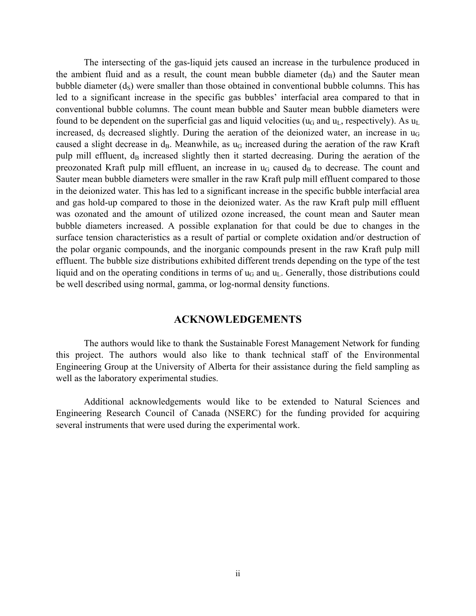The intersecting of the gas-liquid jets caused an increase in the turbulence produced in the ambient fluid and as a result, the count mean bubble diameter  $(d_B)$  and the Sauter mean bubble diameter  $(d<sub>S</sub>)$  were smaller than those obtained in conventional bubble columns. This has led to a significant increase in the specific gas bubbles' interfacial area compared to that in conventional bubble columns. The count mean bubble and Sauter mean bubble diameters were found to be dependent on the superficial gas and liquid velocities ( $u_G$  and  $u_L$ , respectively). As  $u_L$ increased,  $d_S$  decreased slightly. During the aeration of the deionized water, an increase in  $u_G$ caused a slight decrease in  $d_B$ . Meanwhile, as  $u_G$  increased during the aeration of the raw Kraft pulp mill effluent,  $d_B$  increased slightly then it started decreasing. During the aeration of the preozonated Kraft pulp mill effluent, an increase in  $u_G$  caused  $d_B$  to decrease. The count and Sauter mean bubble diameters were smaller in the raw Kraft pulp mill effluent compared to those in the deionized water. This has led to a significant increase in the specific bubble interfacial area and gas hold-up compared to those in the deionized water. As the raw Kraft pulp mill effluent was ozonated and the amount of utilized ozone increased, the count mean and Sauter mean bubble diameters increased. A possible explanation for that could be due to changes in the surface tension characteristics as a result of partial or complete oxidation and/or destruction of the polar organic compounds, and the inorganic compounds present in the raw Kraft pulp mill effluent. The bubble size distributions exhibited different trends depending on the type of the test liquid and on the operating conditions in terms of  $u_G$  and  $u_L$ . Generally, those distributions could be well described using normal, gamma, or log-normal density functions.

# **ACKNOWLEDGEMENTS**

The authors would like to thank the Sustainable Forest Management Network for funding this project. The authors would also like to thank technical staff of the Environmental Engineering Group at the University of Alberta for their assistance during the field sampling as well as the laboratory experimental studies.

Additional acknowledgements would like to be extended to Natural Sciences and Engineering Research Council of Canada (NSERC) for the funding provided for acquiring several instruments that were used during the experimental work.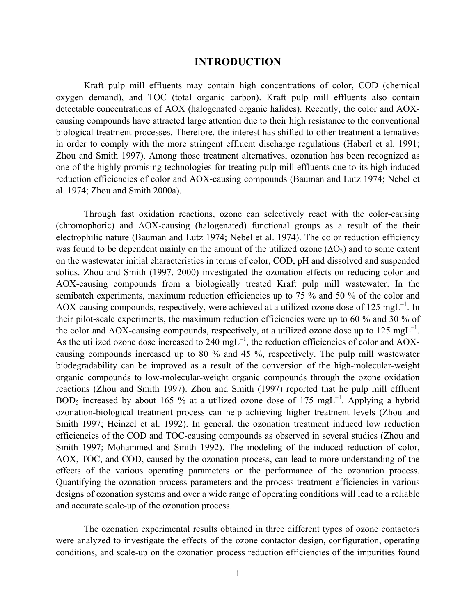# **INTRODUCTION**

Kraft pulp mill effluents may contain high concentrations of color, COD (chemical oxygen demand), and TOC (total organic carbon). Kraft pulp mill effluents also contain detectable concentrations of AOX (halogenated organic halides). Recently, the color and AOXcausing compounds have attracted large attention due to their high resistance to the conventional biological treatment processes. Therefore, the interest has shifted to other treatment alternatives in order to comply with the more stringent effluent discharge regulations (Haberl et al. 1991; Zhou and Smith 1997). Among those treatment alternatives, ozonation has been recognized as one of the highly promising technologies for treating pulp mill effluents due to its high induced reduction efficiencies of color and AOX-causing compounds (Bauman and Lutz 1974; Nebel et al. 1974; Zhou and Smith 2000a).

Through fast oxidation reactions, ozone can selectively react with the color-causing (chromophoric) and AOX-causing (halogenated) functional groups as a result of the their electrophilic nature (Bauman and Lutz 1974; Nebel et al. 1974). The color reduction efficiency was found to be dependent mainly on the amount of the utilized ozone ( $\Delta O_3$ ) and to some extent on the wastewater initial characteristics in terms of color, COD, pH and dissolved and suspended solids. Zhou and Smith (1997, 2000) investigated the ozonation effects on reducing color and AOX-causing compounds from a biologically treated Kraft pulp mill wastewater. In the semibatch experiments, maximum reduction efficiencies up to 75 % and 50 % of the color and AOX-causing compounds, respectively, were achieved at a utilized ozone dose of 125 mgL<sup>-1</sup>. In their pilot-scale experiments, the maximum reduction efficiencies were up to 60 % and 30 % of the color and AOX-causing compounds, respectively, at a utilized ozone dose up to 125 mgL<sup>-1</sup>. As the utilized ozone dose increased to 240 mgL<sup>-1</sup>, the reduction efficiencies of color and AOXcausing compounds increased up to 80 % and 45 %, respectively. The pulp mill wastewater biodegradability can be improved as a result of the conversion of the high-molecular-weight organic compounds to low-molecular-weight organic compounds through the ozone oxidation reactions (Zhou and Smith 1997). Zhou and Smith (1997) reported that he pulp mill effluent BOD<sub>5</sub> increased by about 165 % at a utilized ozone dose of 175 mgL<sup>-1</sup>. Applying a hybrid ozonation-biological treatment process can help achieving higher treatment levels (Zhou and Smith 1997; Heinzel et al. 1992). In general, the ozonation treatment induced low reduction efficiencies of the COD and TOC-causing compounds as observed in several studies (Zhou and Smith 1997; Mohammed and Smith 1992). The modeling of the induced reduction of color, AOX, TOC, and COD, caused by the ozonation process, can lead to more understanding of the effects of the various operating parameters on the performance of the ozonation process. Quantifying the ozonation process parameters and the process treatment efficiencies in various designs of ozonation systems and over a wide range of operating conditions will lead to a reliable and accurate scale-up of the ozonation process.

The ozonation experimental results obtained in three different types of ozone contactors were analyzed to investigate the effects of the ozone contactor design, configuration, operating conditions, and scale-up on the ozonation process reduction efficiencies of the impurities found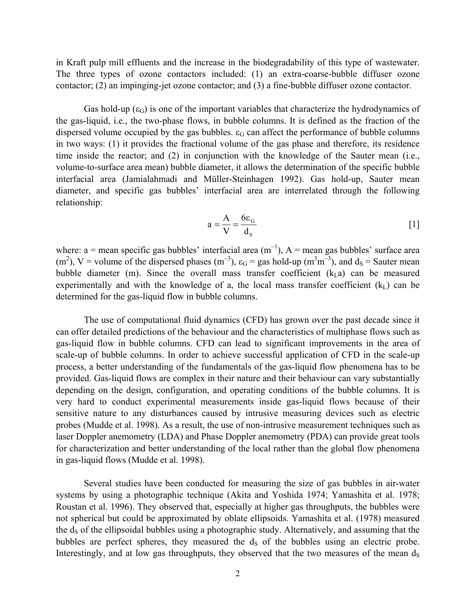in Kraft pulp mill effluents and the increase in the biodegradability of this type of wastewater. The three types of ozone contactors included: (1) an extra-coarse-bubble diffuser ozone contactor; (2) an impinging-jet ozone contactor; and (3) a fine-bubble diffuser ozone contactor.

Gas hold-up  $(\epsilon_{\rm G})$  is one of the important variables that characterize the hydrodynamics of the gas-liquid, i.e., the two-phase flows, in bubble columns. It is defined as the fraction of the dispersed volume occupied by the gas bubbles.  $\varepsilon_G$  can affect the performance of bubble columns in two ways: (1) it provides the fractional volume of the gas phase and therefore, its residence time inside the reactor; and (2) in conjunction with the knowledge of the Sauter mean (i.e., volume-to-surface area mean) bubble diameter, it allows the determination of the specific bubble interfacial area (Jamialahmadi and Müller-Steinhagen 1992). Gas hold-up, Sauter mean diameter, and specific gas bubbles' interfacial area are interrelated through the following relationship:

$$
a = \frac{A}{V} = \frac{6\epsilon_{G}}{d_{s}}
$$
 [1]

where: a = mean specific gas bubbles' interfacial area  $(m^{-1})$ , A = mean gas bubbles' surface area  $(m<sup>2</sup>)$ , V = volume of the dispersed phases  $(m<sup>-3</sup>)$ ,  $\varepsilon_G$  = gas hold-up  $(m<sup>3</sup>m<sup>-3</sup>)$ , and  $d_S$  = Sauter mean bubble diameter (m). Since the overall mass transfer coefficient  $(k<sub>L</sub>a)$  can be measured experimentally and with the knowledge of a, the local mass transfer coefficient  $(k<sub>L</sub>)$  can be determined for the gas-liquid flow in bubble columns.

The use of computational fluid dynamics (CFD) has grown over the past decade since it can offer detailed predictions of the behaviour and the characteristics of multiphase flows such as gas-liquid flow in bubble columns. CFD can lead to significant improvements in the area of scale-up of bubble columns. In order to achieve successful application of CFD in the scale-up process, a better understanding of the fundamentals of the gas-liquid flow phenomena has to be provided. Gas-liquid flows are complex in their nature and their behaviour can vary substantially depending on the design, configuration, and operating conditions of the bubble columns. It is very hard to conduct experimental measurements inside gas-liquid flows because of their sensitive nature to any disturbances caused by intrusive measuring devices such as electric probes (Mudde et al. 1998). As a result, the use of non-intrusive measurement techniques such as laser Doppler anemometry (LDA) and Phase Doppler anemometry (PDA) can provide great tools for characterization and better understanding of the local rather than the global flow phenomena in gas-liquid flows (Mudde et al. 1998).

Several studies have been conducted for measuring the size of gas bubbles in air-water systems by using a photographic technique (Akita and Yoshida 1974; Yamashita et al. 1978; Roustan et al. 1996). They observed that, especially at higher gas throughputs, the bubbles were not spherical but could be approximated by oblate ellipsoids. Yamashita et al. (1978) measured the d<sub>s</sub> of the ellipsoidal bubbles using a photographic study. Alternatively, and assuming that the bubbles are perfect spheres, they measured the ds of the bubbles using an electric probe. Interestingly, and at low gas throughputs, they observed that the two measures of the mean  $d<sub>S</sub>$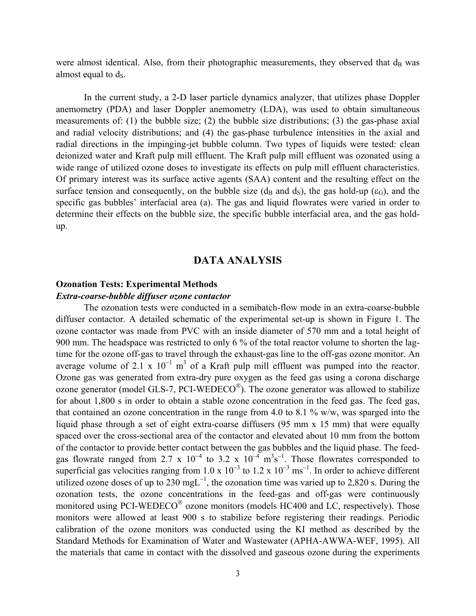were almost identical. Also, from their photographic measurements, they observed that  $d_B$  was almost equal to ds.

In the current study, a 2-D laser particle dynamics analyzer, that utilizes phase Doppler anemometry (PDA) and laser Doppler anemometry (LDA), was used to obtain simultaneous measurements of: (1) the bubble size; (2) the bubble size distributions; (3) the gas-phase axial and radial velocity distributions; and (4) the gas-phase turbulence intensities in the axial and radial directions in the impinging-jet bubble column. Two types of liquids were tested: clean deionized water and Kraft pulp mill effluent. The Kraft pulp mill effluent was ozonated using a wide range of utilized ozone doses to investigate its effects on pulp mill effluent characteristics. Of primary interest was its surface active agents (SAA) content and the resulting effect on the surface tension and consequently, on the bubble size ( $d_B$  and  $d_S$ ), the gas hold-up ( $\varepsilon_G$ ), and the specific gas bubbles' interfacial area (a). The gas and liquid flowrates were varied in order to determine their effects on the bubble size, the specific bubble interfacial area, and the gas holdup.

# **DATA ANALYSIS**

#### **Ozonation Tests: Experimental Methods**

# *Extra-coarse-bubble diffuser ozone contactor*

The ozonation tests were conducted in a semibatch-flow mode in an extra-coarse-bubble diffuser contactor. A detailed schematic of the experimental set-up is shown in Figure 1. The ozone contactor was made from PVC with an inside diameter of 570 mm and a total height of 900 mm. The headspace was restricted to only 6 % of the total reactor volume to shorten the lagtime for the ozone off-gas to travel through the exhaust-gas line to the off-gas ozone monitor. An average volume of 2.1 x  $10^{-1}$  m<sup>3</sup> of a Kraft pulp mill effluent was pumped into the reactor. Ozone gas was generated from extra-dry pure oxygen as the feed gas using a corona discharge ozone generator (model GLS-7, PCI-WEDECO<sup>®</sup>). The ozone generator was allowed to stabilize for about 1,800 s in order to obtain a stable ozone concentration in the feed gas. The feed gas, that contained an ozone concentration in the range from 4.0 to 8.1 % w/w, was sparged into the liquid phase through a set of eight extra-coarse diffusers (95 mm x 15 mm) that were equally spaced over the cross-sectional area of the contactor and elevated about 10 mm from the bottom of the contactor to provide better contact between the gas bubbles and the liquid phase. The feedgas flowrate ranged from 2.7 x  $10^{-4}$  to 3.2 x  $10^{-4}$  m<sup>3</sup>s<sup>-1</sup>. Those flowrates corresponded to superficial gas velocities ranging from 1.0 x  $10^{-3}$  to 1.2 x  $10^{-3}$  ms<sup>-1</sup>. In order to achieve different utilized ozone doses of up to 230 mgL<sup>-1</sup>, the ozonation time was varied up to 2,820 s. During the ozonation tests, the ozone concentrations in the feed-gas and off-gas were continuously monitored using PCI-WEDECO $^{\circ}$  ozone monitors (models HC400 and LC, respectively). Those monitors were allowed at least 900 s to stabilize before registering their readings. Periodic calibration of the ozone monitors was conducted using the KI method as described by the Standard Methods for Examination of Water and Wastewater (APHA-AWWA-WEF, 1995). All the materials that came in contact with the dissolved and gaseous ozone during the experiments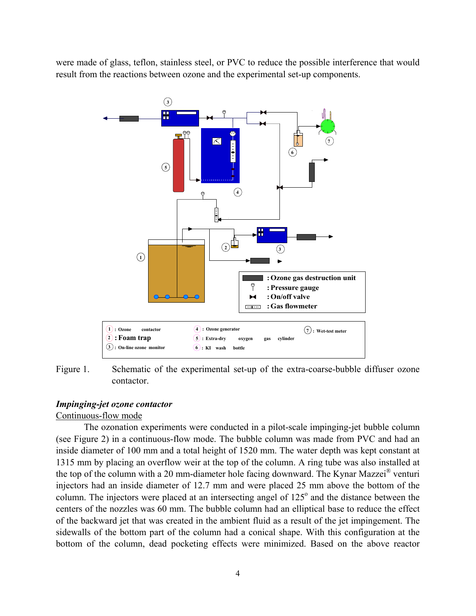were made of glass, teflon, stainless steel, or PVC to reduce the possible interference that would result from the reactions between ozone and the experimental set-up components.



Figure 1. Schematic of the experimental set-up of the extra-coarse-bubble diffuser ozone contactor.

#### *Impinging-jet ozone contactor*

# Continuous-flow mode

The ozonation experiments were conducted in a pilot-scale impinging-jet bubble column (see Figure 2) in a continuous-flow mode. The bubble column was made from PVC and had an inside diameter of 100 mm and a total height of 1520 mm. The water depth was kept constant at 1315 mm by placing an overflow weir at the top of the column. A ring tube was also installed at the top of the column with a 20 mm-diameter hole facing downward. The Kynar Mazzei® venturi injectors had an inside diameter of 12.7 mm and were placed 25 mm above the bottom of the column. The injectors were placed at an intersecting angel of 125<sup>°</sup> and the distance between the centers of the nozzles was 60 mm. The bubble column had an elliptical base to reduce the effect of the backward jet that was created in the ambient fluid as a result of the jet impingement. The sidewalls of the bottom part of the column had a conical shape. With this configuration at the bottom of the column, dead pocketing effects were minimized. Based on the above reactor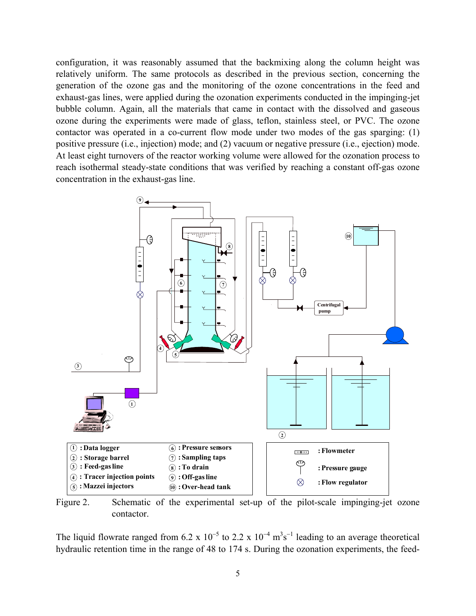configuration, it was reasonably assumed that the backmixing along the column height was relatively uniform. The same protocols as described in the previous section, concerning the generation of the ozone gas and the monitoring of the ozone concentrations in the feed and exhaust-gas lines, were applied during the ozonation experiments conducted in the impinging-jet bubble column. Again, all the materials that came in contact with the dissolved and gaseous ozone during the experiments were made of glass, teflon, stainless steel, or PVC. The ozone contactor was operated in a co-current flow mode under two modes of the gas sparging: (1) positive pressure (i.e., injection) mode; and (2) vacuum or negative pressure (i.e., ejection) mode. At least eight turnovers of the reactor working volume were allowed for the ozonation process to reach isothermal steady-state conditions that was verified by reaching a constant off-gas ozone concentration in the exhaust-gas line.



Figure 2. Schematic of the experimental set-up of the pilot-scale impinging-jet ozone contactor.

The liquid flowrate ranged from 6.2 x  $10^{-5}$  to 2.2 x  $10^{-4}$  m<sup>3</sup>s<sup>-1</sup> leading to an average theoretical hydraulic retention time in the range of 48 to 174 s. During the ozonation experiments, the feed-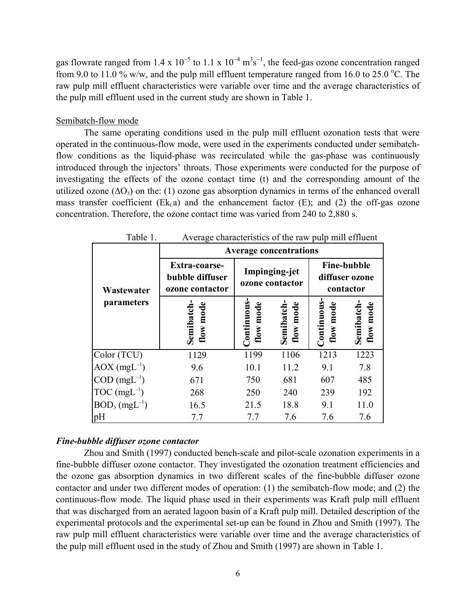gas flowrate ranged from 1.4 x  $10^{-5}$  to 1.1 x  $10^{-4}$  m<sup>3</sup>s<sup>-1</sup>, the feed-gas ozone concentration ranged from 9.0 to 11.0 % w/w, and the pulp mill effluent temperature ranged from 16.0 to 25.0 °C. The raw pulp mill effluent characteristics were variable over time and the average characteristics of the pulp mill effluent used in the current study are shown in Table 1.

#### Semibatch-flow mode

The same operating conditions used in the pulp mill effluent ozonation tests that were operated in the continuous-flow mode, were used in the experiments conducted under semibatchflow conditions as the liquid-phase was recirculated while the gas-phase was continuously introduced through the injectors' throats. Those experiments were conducted for the purpose of investigating the effects of the ozone contact time (t) and the corresponding amount of the utilized ozone ( $\Delta O_3$ ) on the: (1) ozone gas absorption dynamics in terms of the enhanced overall mass transfer coefficient  $(Ek_1a)$  and the enhancement factor  $(E)$ ; and  $(2)$  the off-gas ozone concentration. Therefore, the ozone contact time was varied from 240 to 2,880 s.

|                              | Table 1.<br>Average characteristics of the raw pulp min embedle |                                                   |      |                                                   |                        |  |
|------------------------------|-----------------------------------------------------------------|---------------------------------------------------|------|---------------------------------------------------|------------------------|--|
|                              | <b>Average concentrations</b>                                   |                                                   |      |                                                   |                        |  |
| Wastewater                   | Extra-coarse-<br>bubble diffuser<br>ozone contactor             | Impinging-jet<br>ozone contactor                  |      | <b>Fine-bubble</b><br>diffuser ozone<br>contactor |                        |  |
| parameters                   | flow mode<br>Semibatch                                          | Continuous<br>flow mode<br>flow mode<br>Semibatch |      | Continuous<br>flow mode                           | flow mode<br>Semibatch |  |
| Color (TCU)                  | 1129                                                            | 1199                                              | 1106 | 1213                                              | 1223                   |  |
| $AOX$ (mgL <sup>-1</sup> )   | 9.6                                                             | 10.1                                              | 11.2 | 9.1                                               | 7.8                    |  |
| $COD$ (mgL <sup>-1</sup> )   | 671                                                             | 750                                               | 681  | 607                                               | 485                    |  |
| $TOC (mgL^{-1})$             | 268                                                             | 250                                               | 240  | 239                                               | 192                    |  |
| $BOD_5$ (mgL <sup>-1</sup> ) | 16.5                                                            | 21.5                                              | 18.8 | 9.1                                               | 11.0                   |  |
| pH                           | 7.7                                                             | 7.7                                               | 7.6  | 7.6                                               | 7.6                    |  |

Table 1. Average characteristics of the raw pulp mill effluent

#### *Fine-bubble diffuser ozone contactor*

Zhou and Smith (1997) conducted bench-scale and pilot-scale ozonation experiments in a fine-bubble diffuser ozone contactor. They investigated the ozonation treatment efficiencies and the ozone gas absorption dynamics in two different scales of the fine-bubble diffuser ozone contactor and under two different modes of operation: (1) the semibatch-flow mode; and (2) the continuous-flow mode. The liquid phase used in their experiments was Kraft pulp mill effluent that was discharged from an aerated lagoon basin of a Kraft pulp mill. Detailed description of the experimental protocols and the experimental set-up can be found in Zhou and Smith (1997). The raw pulp mill effluent characteristics were variable over time and the average characteristics of the pulp mill effluent used in the study of Zhou and Smith (1997) are shown in Table 1.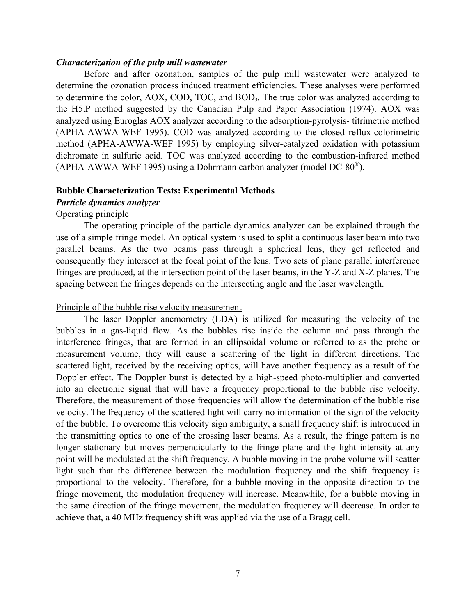#### *Characterization of the pulp mill wastewater*

Before and after ozonation, samples of the pulp mill wastewater were analyzed to determine the ozonation process induced treatment efficiencies. These analyses were performed to determine the color, AOX, COD, TOC, and BOD<sub>5</sub>. The true color was analyzed according to the H5.P method suggested by the Canadian Pulp and Paper Association (1974). AOX was analyzed using Euroglas AOX analyzer according to the adsorption-pyrolysis- titrimetric method (APHA-AWWA-WEF 1995). COD was analyzed according to the closed reflux-colorimetric method (APHA-AWWA-WEF 1995) by employing silver-catalyzed oxidation with potassium dichromate in sulfuric acid. TOC was analyzed according to the combustion-infrared method (APHA-AWWA-WEF 1995) using a Dohrmann carbon analyzer (model  $DC-80^{\circledR}$ ).

#### **Bubble Characterization Tests: Experimental Methods**

# *Particle dynamics analyzer*

# Operating principle

The operating principle of the particle dynamics analyzer can be explained through the use of a simple fringe model. An optical system is used to split a continuous laser beam into two parallel beams. As the two beams pass through a spherical lens, they get reflected and consequently they intersect at the focal point of the lens. Two sets of plane parallel interference fringes are produced, at the intersection point of the laser beams, in the Y-Z and X-Z planes. The spacing between the fringes depends on the intersecting angle and the laser wavelength.

#### Principle of the bubble rise velocity measurement

The laser Doppler anemometry (LDA) is utilized for measuring the velocity of the bubbles in a gas-liquid flow. As the bubbles rise inside the column and pass through the interference fringes, that are formed in an ellipsoidal volume or referred to as the probe or measurement volume, they will cause a scattering of the light in different directions. The scattered light, received by the receiving optics, will have another frequency as a result of the Doppler effect. The Doppler burst is detected by a high-speed photo-multiplier and converted into an electronic signal that will have a frequency proportional to the bubble rise velocity. Therefore, the measurement of those frequencies will allow the determination of the bubble rise velocity. The frequency of the scattered light will carry no information of the sign of the velocity of the bubble. To overcome this velocity sign ambiguity, a small frequency shift is introduced in the transmitting optics to one of the crossing laser beams. As a result, the fringe pattern is no longer stationary but moves perpendicularly to the fringe plane and the light intensity at any point will be modulated at the shift frequency. A bubble moving in the probe volume will scatter light such that the difference between the modulation frequency and the shift frequency is proportional to the velocity. Therefore, for a bubble moving in the opposite direction to the fringe movement, the modulation frequency will increase. Meanwhile, for a bubble moving in the same direction of the fringe movement, the modulation frequency will decrease. In order to achieve that, a 40 MHz frequency shift was applied via the use of a Bragg cell.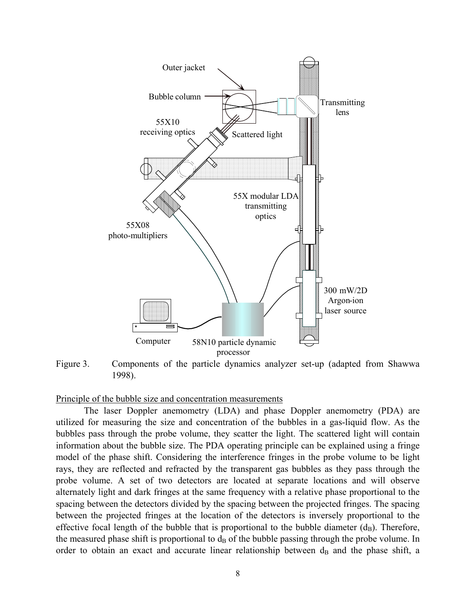

Figure 3. Components of the particle dynamics analyzer set-up (adapted from Shawwa 1998).

Principle of the bubble size and concentration measurements

The laser Doppler anemometry (LDA) and phase Doppler anemometry (PDA) are utilized for measuring the size and concentration of the bubbles in a gas-liquid flow. As the bubbles pass through the probe volume, they scatter the light. The scattered light will contain information about the bubble size. The PDA operating principle can be explained using a fringe model of the phase shift. Considering the interference fringes in the probe volume to be light rays, they are reflected and refracted by the transparent gas bubbles as they pass through the probe volume. A set of two detectors are located at separate locations and will observe alternately light and dark fringes at the same frequency with a relative phase proportional to the spacing between the detectors divided by the spacing between the projected fringes. The spacing between the projected fringes at the location of the detectors is inversely proportional to the effective focal length of the bubble that is proportional to the bubble diameter  $(d_B)$ . Therefore, the measured phase shift is proportional to  $d_B$  of the bubble passing through the probe volume. In order to obtain an exact and accurate linear relationship between  $d_B$  and the phase shift, a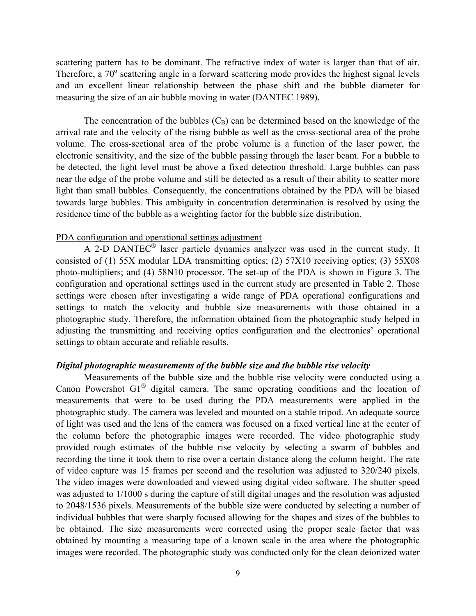scattering pattern has to be dominant. The refractive index of water is larger than that of air. Therefore, a 70° scattering angle in a forward scattering mode provides the highest signal levels and an excellent linear relationship between the phase shift and the bubble diameter for measuring the size of an air bubble moving in water (DANTEC 1989).

The concentration of the bubbles  $(C_B)$  can be determined based on the knowledge of the arrival rate and the velocity of the rising bubble as well as the cross-sectional area of the probe volume. The cross-sectional area of the probe volume is a function of the laser power, the electronic sensitivity, and the size of the bubble passing through the laser beam. For a bubble to be detected, the light level must be above a fixed detection threshold. Large bubbles can pass near the edge of the probe volume and still be detected as a result of their ability to scatter more light than small bubbles. Consequently, the concentrations obtained by the PDA will be biased towards large bubbles. This ambiguity in concentration determination is resolved by using the residence time of the bubble as a weighting factor for the bubble size distribution.

#### PDA configuration and operational settings adjustment

A 2-D DANTEC $^{\circ}$  laser particle dynamics analyzer was used in the current study. It consisted of (1) 55X modular LDA transmitting optics; (2) 57X10 receiving optics; (3) 55X08 photo-multipliers; and (4) 58N10 processor. The set-up of the PDA is shown in Figure 3. The configuration and operational settings used in the current study are presented in Table 2. Those settings were chosen after investigating a wide range of PDA operational configurations and settings to match the velocity and bubble size measurements with those obtained in a photographic study. Therefore, the information obtained from the photographic study helped in adjusting the transmitting and receiving optics configuration and the electronics' operational settings to obtain accurate and reliable results.

#### *Digital photographic measurements of the bubble size and the bubble rise velocity*

Measurements of the bubble size and the bubble rise velocity were conducted using a Canon Powershot  $GI^{\otimes}$  digital camera. The same operating conditions and the location of measurements that were to be used during the PDA measurements were applied in the photographic study. The camera was leveled and mounted on a stable tripod. An adequate source of light was used and the lens of the camera was focused on a fixed vertical line at the center of the column before the photographic images were recorded. The video photographic study provided rough estimates of the bubble rise velocity by selecting a swarm of bubbles and recording the time it took them to rise over a certain distance along the column height. The rate of video capture was 15 frames per second and the resolution was adjusted to 320/240 pixels. The video images were downloaded and viewed using digital video software. The shutter speed was adjusted to 1/1000 s during the capture of still digital images and the resolution was adjusted to 2048/1536 pixels. Measurements of the bubble size were conducted by selecting a number of individual bubbles that were sharply focused allowing for the shapes and sizes of the bubbles to be obtained. The size measurements were corrected using the proper scale factor that was obtained by mounting a measuring tape of a known scale in the area where the photographic images were recorded. The photographic study was conducted only for the clean deionized water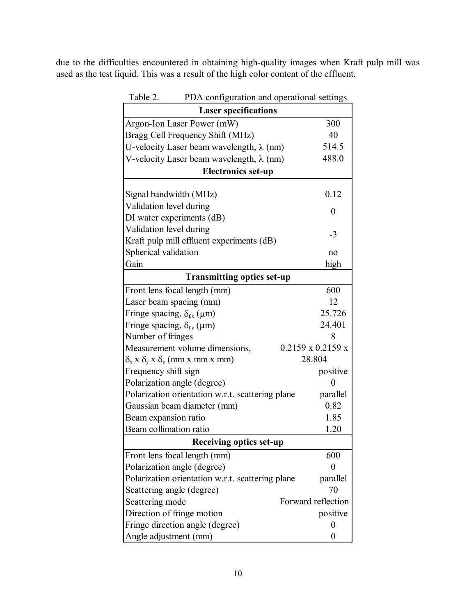due to the difficulties encountered in obtaining high-quality images when Kraft pulp mill was used as the test liquid. This was a result of the high color content of the effluent.

| Table 2.<br>PDA configuration and operational settings    |                               |  |  |  |  |  |
|-----------------------------------------------------------|-------------------------------|--|--|--|--|--|
| <b>Laser specifications</b>                               |                               |  |  |  |  |  |
| Argon-Ion Laser Power (mW)                                | 300                           |  |  |  |  |  |
| Bragg Cell Frequency Shift (MHz)                          | 40                            |  |  |  |  |  |
| U-velocity Laser beam wavelength, $\lambda$ (nm)          | 514.5                         |  |  |  |  |  |
| V-velocity Laser beam wavelength, $\lambda$ (nm)          | 488.0                         |  |  |  |  |  |
| <b>Electronics set-up</b>                                 |                               |  |  |  |  |  |
|                                                           |                               |  |  |  |  |  |
| Signal bandwidth (MHz)                                    | 0.12                          |  |  |  |  |  |
| Validation level during                                   | $\theta$                      |  |  |  |  |  |
| DI water experiments (dB)                                 |                               |  |  |  |  |  |
| Validation level during                                   | $-3$                          |  |  |  |  |  |
| Kraft pulp mill effluent experiments (dB)                 |                               |  |  |  |  |  |
| Spherical validation                                      | no                            |  |  |  |  |  |
| Gain                                                      | high                          |  |  |  |  |  |
| <b>Transmitting optics set-up</b>                         |                               |  |  |  |  |  |
| Front lens focal length (mm)                              | 600                           |  |  |  |  |  |
| Laser beam spacing (mm)                                   | 12                            |  |  |  |  |  |
| Fringe spacing, $\delta_{fx}$ ( $\mu$ m)                  | 25.726                        |  |  |  |  |  |
| Fringe spacing, $\delta_{f_v}(\mu m)$                     | 24.401                        |  |  |  |  |  |
| Number of fringes                                         | 8                             |  |  |  |  |  |
| Measurement volume dimensions,                            | $0.2159 \times 0.2159 \times$ |  |  |  |  |  |
| $\delta_{x}$ x $\delta_{y}$ x $\delta_{z}$ (mm x mm x mm) | 28.804                        |  |  |  |  |  |
| Frequency shift sign                                      | positive                      |  |  |  |  |  |
| Polarization angle (degree)                               | 0                             |  |  |  |  |  |
| Polarization orientation w.r.t. scattering plane          | parallel                      |  |  |  |  |  |
| Gaussian beam diameter (mm)                               | 0.82                          |  |  |  |  |  |
| Beam expansion ratio                                      | 1.85                          |  |  |  |  |  |
| Beam collimation ratio                                    | 1.20                          |  |  |  |  |  |
| <b>Receiving optics set-up</b>                            |                               |  |  |  |  |  |
| Front lens focal length (mm)                              | 600                           |  |  |  |  |  |
| Polarization angle (degree)                               | $\theta$                      |  |  |  |  |  |
| Polarization orientation w.r.t. scattering plane          | parallel                      |  |  |  |  |  |
| Scattering angle (degree)                                 | 70                            |  |  |  |  |  |
| Scattering mode                                           | Forward reflection            |  |  |  |  |  |
| Direction of fringe motion                                | positive                      |  |  |  |  |  |
| Fringe direction angle (degree)                           | $\boldsymbol{0}$              |  |  |  |  |  |
| Angle adjustment (mm)                                     | 0                             |  |  |  |  |  |

 $T<sub>1</sub>$   $\sim$  PDA configuration and operational settings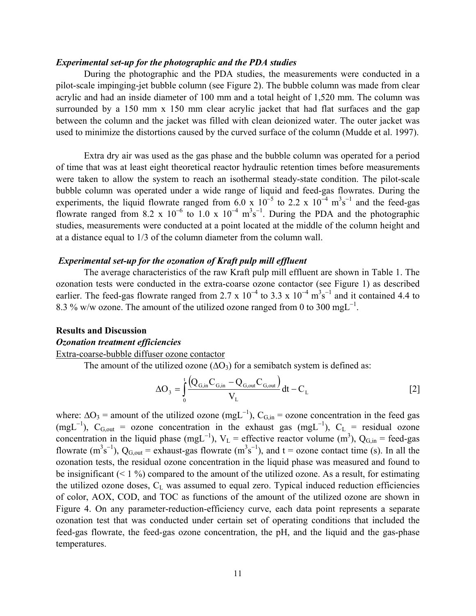#### *Experimental set-up for the photographic and the PDA studies*

During the photographic and the PDA studies, the measurements were conducted in a pilot-scale impinging-jet bubble column (see Figure 2). The bubble column was made from clear acrylic and had an inside diameter of 100 mm and a total height of 1,520 mm. The column was surrounded by a 150 mm x 150 mm clear acrylic jacket that had flat surfaces and the gap between the column and the jacket was filled with clean deionized water. The outer jacket was used to minimize the distortions caused by the curved surface of the column (Mudde et al. 1997).

Extra dry air was used as the gas phase and the bubble column was operated for a period of time that was at least eight theoretical reactor hydraulic retention times before measurements were taken to allow the system to reach an isothermal steady-state condition. The pilot-scale bubble column was operated under a wide range of liquid and feed-gas flowrates. During the experiments, the liquid flowrate ranged from 6.0 x  $10^{-5}$  to 2.2 x  $10^{-4}$  m<sup>3</sup>s<sup>-1</sup> and the feed-gas flowrate ranged from 8.2 x  $10^{-6}$  to 1.0 x  $10^{-4}$  m<sup>3</sup>s<sup>-1</sup>. During the PDA and the photographic studies, measurements were conducted at a point located at the middle of the column height and at a distance equal to 1/3 of the column diameter from the column wall.

#### *Experimental set-up for the ozonation of Kraft pulp mill effluent*

The average characteristics of the raw Kraft pulp mill effluent are shown in Table 1. The ozonation tests were conducted in the extra-coarse ozone contactor (see Figure 1) as described earlier. The feed-gas flowrate ranged from 2.7 x  $10^{-4}$  to 3.3 x  $10^{-4}$  m<sup>3</sup>s<sup>-1</sup> and it contained 4.4 to 8.3 % w/w ozone. The amount of the utilized ozone ranged from 0 to 300 mgL<sup>-1</sup>.

#### **Results and Discussion**

### *Ozonation treatment efficiencies*

Extra-coarse-bubble diffuser ozone contactor

The amount of the utilized ozone  $(ΔO<sub>3</sub>)$  for a semibatch system is defined as:

$$
\Delta O_3 = \int_0^t \frac{\left(Q_{G,in} C_{G,in} - Q_{G,out} C_{G,out}\right)}{V_L} dt - C_L
$$
 [2]

where:  $\Delta O_3$  = amount of the utilized ozone (mgL<sup>-1</sup>), C<sub>G,in</sub> = ozone concentration in the feed gas (mgL<sup>-1</sup>), C<sub>G,out</sub> = ozone concentration in the exhaust gas (mgL<sup>-1</sup>), C<sub>L</sub> = residual ozone concentration in the liquid phase (mgL<sup>-1</sup>),  $V_L$  = effective reactor volume (m<sup>3</sup>), Q<sub>G,in</sub> = feed-gas flowrate  $(m^3s^{-1})$ ,  $Q_{G,out}$  = exhaust-gas flowrate  $(m^3s^{-1})$ , and t = ozone contact time (s). In all the ozonation tests, the residual ozone concentration in the liquid phase was measured and found to be insignificant  $($  < 1 %) compared to the amount of the utilized ozone. As a result, for estimating the utilized ozone doses,  $C_L$  was assumed to equal zero. Typical induced reduction efficiencies of color, AOX, COD, and TOC as functions of the amount of the utilized ozone are shown in Figure 4. On any parameter-reduction-efficiency curve, each data point represents a separate ozonation test that was conducted under certain set of operating conditions that included the feed-gas flowrate, the feed-gas ozone concentration, the pH, and the liquid and the gas-phase temperatures.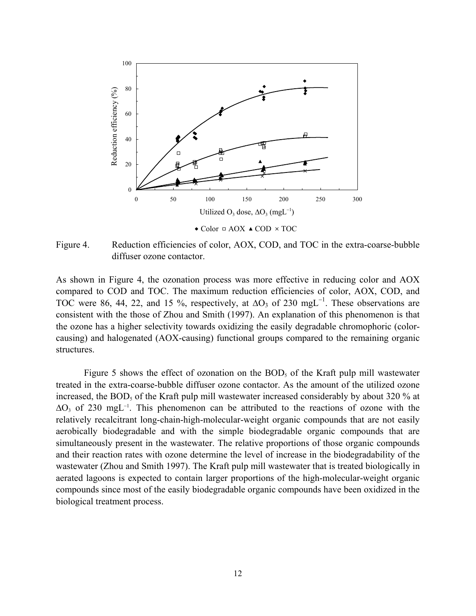

Figure 4. Reduction efficiencies of color, AOX, COD, and TOC in the extra-coarse-bubble diffuser ozone contactor.

As shown in Figure 4, the ozonation process was more effective in reducing color and AOX compared to COD and TOC. The maximum reduction efficiencies of color, AOX, COD, and TOC were 86, 44, 22, and 15 %, respectively, at  $\Delta O_3$  of 230 mgL<sup>-1</sup>. These observations are consistent with the those of Zhou and Smith (1997). An explanation of this phenomenon is that the ozone has a higher selectivity towards oxidizing the easily degradable chromophoric (colorcausing) and halogenated (AOX-causing) functional groups compared to the remaining organic structures.

Figure 5 shows the effect of ozonation on the  $BOD<sub>5</sub>$  of the Kraft pulp mill wastewater treated in the extra-coarse-bubble diffuser ozone contactor. As the amount of the utilized ozone increased, the  $BOD<sub>5</sub>$  of the Kraft pulp mill wastewater increased considerably by about 320 % at  $\Delta O_3$  of 230 mgL<sup>-1</sup>. This phenomenon can be attributed to the reactions of ozone with the relatively recalcitrant long-chain-high-molecular-weight organic compounds that are not easily aerobically biodegradable and with the simple biodegradable organic compounds that are simultaneously present in the wastewater. The relative proportions of those organic compounds and their reaction rates with ozone determine the level of increase in the biodegradability of the wastewater (Zhou and Smith 1997). The Kraft pulp mill wastewater that is treated biologically in aerated lagoons is expected to contain larger proportions of the high-molecular-weight organic compounds since most of the easily biodegradable organic compounds have been oxidized in the biological treatment process.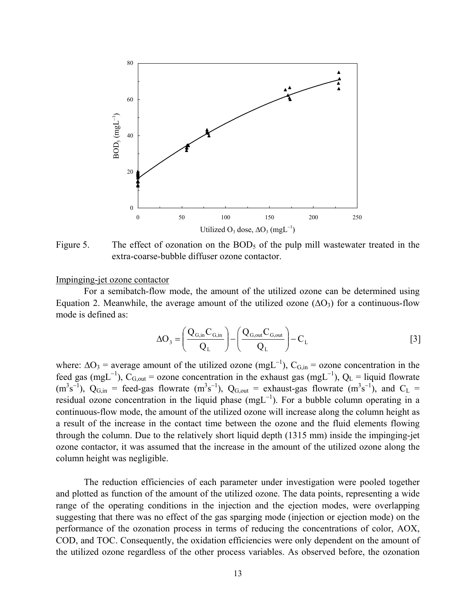

Figure 5. The effect of ozonation on the  $BOD<sub>5</sub>$  of the pulp mill wastewater treated in the extra-coarse-bubble diffuser ozone contactor.

#### Impinging-jet ozone contactor

For a semibatch-flow mode, the amount of the utilized ozone can be determined using Equation 2. Meanwhile, the average amount of the utilized ozone  $(\Delta O_3)$  for a continuous-flow mode is defined as:

$$
\Delta O_3 = \left(\frac{Q_{G,in}C_{G,in}}{Q_L}\right) - \left(\frac{Q_{G,out}C_{G,out}}{Q_L}\right) - C_L
$$
\n<sup>(3)</sup>

where:  $\Delta O_3$  = average amount of the utilized ozone (mgL<sup>-1</sup>), C<sub>G,in</sub> = ozone concentration in the feed gas (mgL<sup>-1</sup>), C<sub>G,out</sub> = ozone concentration in the exhaust gas (mgL<sup>-1</sup>), Q<sub>L</sub> = liquid flowrate  $(m^3s^{-1})$ ,  $Q_{G,in}$  = feed-gas flowrate  $(m^3s^{-1})$ ,  $Q_{G,out}$  = exhaust-gas flowrate  $(m^3s^{-1})$ , and  $C_L$  = residual ozone concentration in the liquid phase  $(mgL^{-1})$ . For a bubble column operating in a continuous-flow mode, the amount of the utilized ozone will increase along the column height as a result of the increase in the contact time between the ozone and the fluid elements flowing through the column. Due to the relatively short liquid depth (1315 mm) inside the impinging-jet ozone contactor, it was assumed that the increase in the amount of the utilized ozone along the column height was negligible.

The reduction efficiencies of each parameter under investigation were pooled together and plotted as function of the amount of the utilized ozone. The data points, representing a wide range of the operating conditions in the injection and the ejection modes, were overlapping suggesting that there was no effect of the gas sparging mode (injection or ejection mode) on the performance of the ozonation process in terms of reducing the concentrations of color, AOX, COD, and TOC. Consequently, the oxidation efficiencies were only dependent on the amount of the utilized ozone regardless of the other process variables. As observed before, the ozonation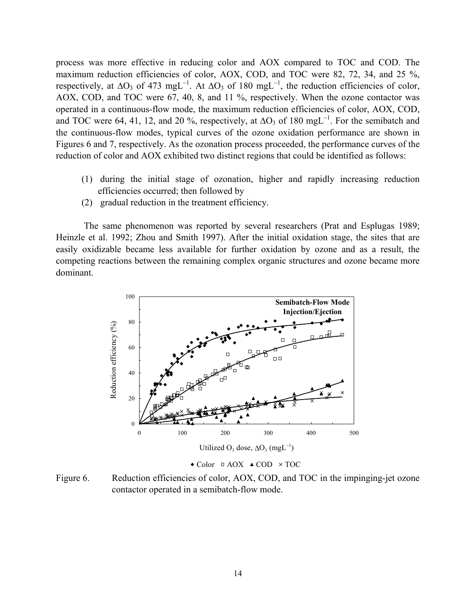process was more effective in reducing color and AOX compared to TOC and COD. The maximum reduction efficiencies of color, AOX, COD, and TOC were 82, 72, 34, and 25 %, respectively, at  $\Delta O_3$  of 473 mgL<sup>-1</sup>. At  $\Delta O_3$  of 180 mgL<sup>-1</sup>, the reduction efficiencies of color, AOX, COD, and TOC were 67, 40, 8, and 11 %, respectively. When the ozone contactor was operated in a continuous-flow mode, the maximum reduction efficiencies of color, AOX, COD, and TOC were 64, 41, 12, and 20 %, respectively, at  $\Delta O_3$  of 180 mgL<sup>-1</sup>. For the semibatch and the continuous-flow modes, typical curves of the ozone oxidation performance are shown in Figures 6 and 7, respectively. As the ozonation process proceeded, the performance curves of the reduction of color and AOX exhibited two distinct regions that could be identified as follows:

- (1) during the initial stage of ozonation, higher and rapidly increasing reduction efficiencies occurred; then followed by
- (2) gradual reduction in the treatment efficiency.

The same phenomenon was reported by several researchers (Prat and Esplugas 1989; Heinzle et al. 1992; Zhou and Smith 1997). After the initial oxidation stage, the sites that are easily oxidizable became less available for further oxidation by ozone and as a result, the competing reactions between the remaining complex organic structures and ozone became more dominant.



 $\bullet$  Color  $\Box$  AOX  $\triangle$  COD  $\times$  TOC

Figure 6. Reduction efficiencies of color, AOX, COD, and TOC in the impinging-jet ozone contactor operated in a semibatch-flow mode.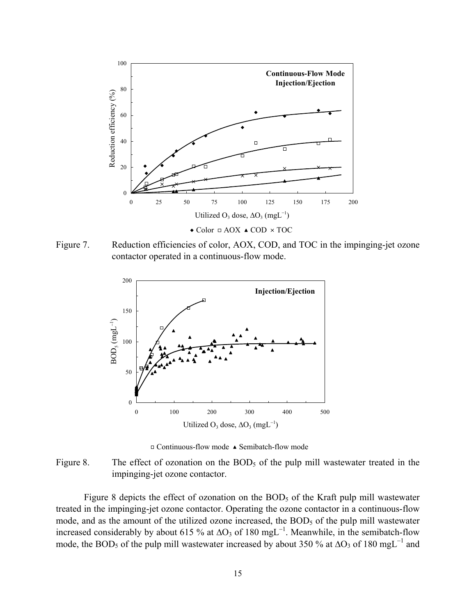

 $\triangle$  Color  $\Box$  AOX  $\triangle$  COD  $\times$  TOC





 $\Box$  Continuous-flow mode  $\triangle$  Semibatch-flow mode

Figure 8. The effect of ozonation on the  $BOD<sub>5</sub>$  of the pulp mill wastewater treated in the impinging-jet ozone contactor.

Figure 8 depicts the effect of ozonation on the  $BOD<sub>5</sub>$  of the Kraft pulp mill wastewater treated in the impinging-jet ozone contactor. Operating the ozone contactor in a continuous-flow mode, and as the amount of the utilized ozone increased, the BOD<sub>5</sub> of the pulp mill wastewater increased considerably by about 615 % at  $\Delta O_3$  of 180 mgL<sup>-1</sup>. Meanwhile, in the semibatch-flow mode, the BOD<sub>5</sub> of the pulp mill wastewater increased by about 350 % at  $\Delta$ O<sub>3</sub> of 180 mgL<sup>-1</sup> and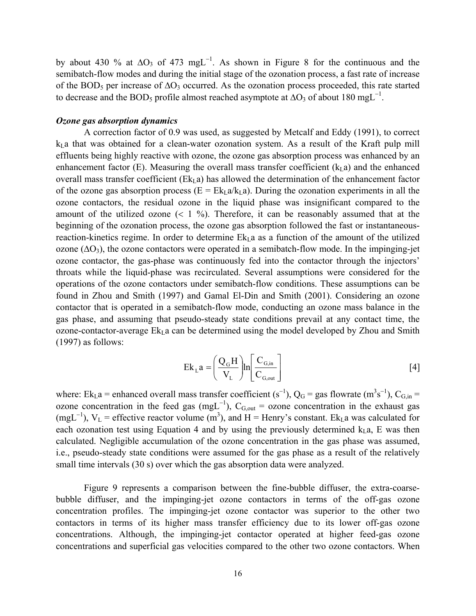by about 430 % at  $\Delta O_3$  of 473 mgL<sup>-1</sup>. As shown in Figure 8 for the continuous and the semibatch-flow modes and during the initial stage of the ozonation process, a fast rate of increase of the BOD<sub>5</sub> per increase of ∆O<sub>3</sub> occurred. As the ozonation process proceeded, this rate started to decrease and the BOD<sub>5</sub> profile almost reached asymptote at ∆O<sub>3</sub> of about 180 mgL<sup>-1</sup>.

#### *Ozone gas absorption dynamics*

A correction factor of 0.9 was used, as suggested by Metcalf and Eddy (1991), to correct  $k<sub>L</sub>$  a that was obtained for a clean-water ozonation system. As a result of the Kraft pulp mill effluents being highly reactive with ozone, the ozone gas absorption process was enhanced by an enhancement factor (E). Measuring the overall mass transfer coefficient  $(k<sub>L</sub>a)$  and the enhanced overall mass transfer coefficient ( $Ek<sub>L</sub>a$ ) has allowed the determination of the enhancement factor of the ozone gas absorption process ( $E = E k<sub>L</sub> a/k<sub>L</sub> a$ ). During the ozonation experiments in all the ozone contactors, the residual ozone in the liquid phase was insignificant compared to the amount of the utilized ozone  $(1\, 9)$ . Therefore, it can be reasonably assumed that at the beginning of the ozonation process, the ozone gas absorption followed the fast or instantaneousreaction-kinetics regime. In order to determine  $Ek<sub>I</sub> a$  as a function of the amount of the utilized ozone  $(\Delta O_3)$ , the ozone contactors were operated in a semibatch-flow mode. In the impinging-jet ozone contactor, the gas-phase was continuously fed into the contactor through the injectors' throats while the liquid-phase was recirculated. Several assumptions were considered for the operations of the ozone contactors under semibatch-flow conditions. These assumptions can be found in Zhou and Smith (1997) and Gamal El-Din and Smith (2001). Considering an ozone contactor that is operated in a semibatch-flow mode, conducting an ozone mass balance in the gas phase, and assuming that pseudo-steady state conditions prevail at any contact time, the ozone-contactor-average  $Ek<sub>L</sub>$  a can be determined using the model developed by Zhou and Smith (1997) as follows:

$$
Ek_{L}a = \left(\frac{Q_{G}H}{V_{L}}\right)ln\left[\frac{C_{G,in}}{C_{G,out}}\right]
$$
 [4]

where: Ek<sub>L</sub>a = enhanced overall mass transfer coefficient (s<sup>-1</sup>), Q<sub>G</sub> = gas flowrate (m<sup>3</sup>s<sup>-1</sup>), C<sub>G,in</sub> = ozone concentration in the feed gas (mgL<sup>-1</sup>), C<sub>G,out</sub> = ozone concentration in the exhaust gas (mgL<sup>-1</sup>), V<sub>L</sub> = effective reactor volume (m<sup>3</sup>), and H = Henry's constant. Ek<sub>L</sub>a was calculated for each ozonation test using Equation 4 and by using the previously determined  $k_1 a$ , E was then calculated. Negligible accumulation of the ozone concentration in the gas phase was assumed, i.e., pseudo-steady state conditions were assumed for the gas phase as a result of the relatively small time intervals (30 s) over which the gas absorption data were analyzed.

Figure 9 represents a comparison between the fine-bubble diffuser, the extra-coarsebubble diffuser, and the impinging-jet ozone contactors in terms of the off-gas ozone concentration profiles. The impinging-jet ozone contactor was superior to the other two contactors in terms of its higher mass transfer efficiency due to its lower off-gas ozone concentrations. Although, the impinging-jet contactor operated at higher feed-gas ozone concentrations and superficial gas velocities compared to the other two ozone contactors. When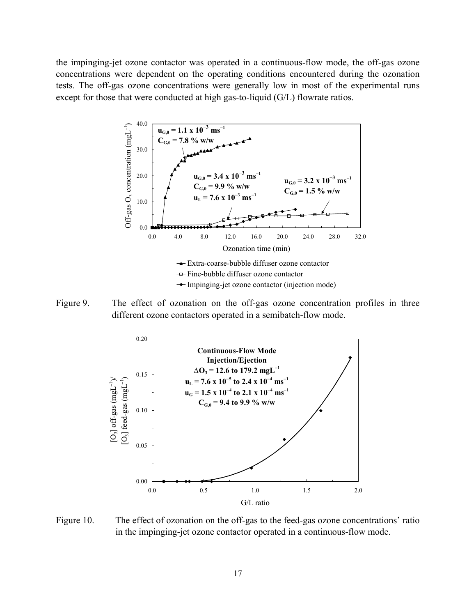the impinging-jet ozone contactor was operated in a continuous-flow mode, the off-gas ozone concentrations were dependent on the operating conditions encountered during the ozonation tests. The off-gas ozone concentrations were generally low in most of the experimental runs except for those that were conducted at high gas-to-liquid (G/L) flowrate ratios.







Figure 10. The effect of ozonation on the off-gas to the feed-gas ozone concentrations' ratio in the impinging-jet ozone contactor operated in a continuous-flow mode.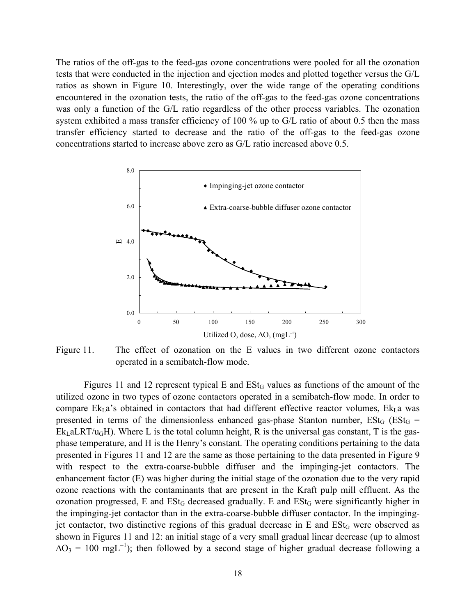The ratios of the off-gas to the feed-gas ozone concentrations were pooled for all the ozonation tests that were conducted in the injection and ejection modes and plotted together versus the G/L ratios as shown in Figure 10. Interestingly, over the wide range of the operating conditions encountered in the ozonation tests, the ratio of the off-gas to the feed-gas ozone concentrations was only a function of the G/L ratio regardless of the other process variables. The ozonation system exhibited a mass transfer efficiency of 100 % up to G/L ratio of about 0.5 then the mass transfer efficiency started to decrease and the ratio of the off-gas to the feed-gas ozone concentrations started to increase above zero as G/L ratio increased above 0.5.



Figure 11. The effect of ozonation on the E values in two different ozone contactors operated in a semibatch-flow mode.

Figures 11 and 12 represent typical  $E$  and  $ESt_G$  values as functions of the amount of the utilized ozone in two types of ozone contactors operated in a semibatch-flow mode. In order to compare  $Ek<sub>L</sub>a$ 's obtained in contactors that had different effective reactor volumes,  $Ek<sub>L</sub>a$  was presented in terms of the dimensionless enhanced gas-phase Stanton number,  $Est_G$  ( $Est_G$  =  $Ek_{L}aLRT/u_{G}H$ ). Where L is the total column height, R is the universal gas constant, T is the gasphase temperature, and H is the Henry's constant. The operating conditions pertaining to the data presented in Figures 11 and 12 are the same as those pertaining to the data presented in Figure 9 with respect to the extra-coarse-bubble diffuser and the impinging-jet contactors. The enhancement factor (E) was higher during the initial stage of the ozonation due to the very rapid ozone reactions with the contaminants that are present in the Kraft pulp mill effluent. As the ozonation progressed,  $E$  and  $ESt_G$  decreased gradually. E and  $ESt_G$  were significantly higher in the impinging-jet contactor than in the extra-coarse-bubble diffuser contactor. In the impingingjet contactor, two distinctive regions of this gradual decrease in  $E$  and  $ESt<sub>G</sub>$  were observed as shown in Figures 11 and 12: an initial stage of a very small gradual linear decrease (up to almost  $\Delta O_3 = 100 \text{ mgl}^{-1}$ ); then followed by a second stage of higher gradual decrease following a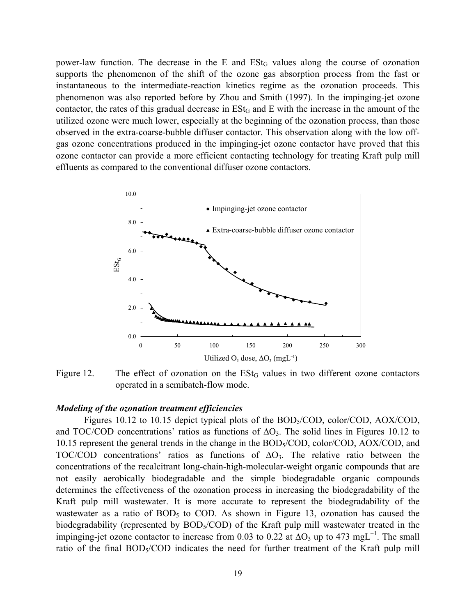power-law function. The decrease in the  $E$  and  $ESt<sub>G</sub>$  values along the course of ozonation supports the phenomenon of the shift of the ozone gas absorption process from the fast or instantaneous to the intermediate-reaction kinetics regime as the ozonation proceeds. This phenomenon was also reported before by Zhou and Smith (1997). In the impinging-jet ozone contactor, the rates of this gradual decrease in  $ESt_G$  and  $E$  with the increase in the amount of the utilized ozone were much lower, especially at the beginning of the ozonation process, than those observed in the extra-coarse-bubble diffuser contactor. This observation along with the low offgas ozone concentrations produced in the impinging-jet ozone contactor have proved that this ozone contactor can provide a more efficient contacting technology for treating Kraft pulp mill effluents as compared to the conventional diffuser ozone contactors.



Figure 12. The effect of ozonation on the  $ESt_G$  values in two different ozone contactors operated in a semibatch-flow mode.

#### *Modeling of the ozonation treatment efficiencies*

Figures 10.12 to 10.15 depict typical plots of the BOD<sub>5</sub>/COD, color/COD, AOX/COD, and TOC/COD concentrations' ratios as functions of  $\Delta O_3$ . The solid lines in Figures 10.12 to 10.15 represent the general trends in the change in the BOD5/COD, color/COD, AOX/COD, and TOC/COD concentrations' ratios as functions of  $\Delta O_3$ . The relative ratio between the concentrations of the recalcitrant long-chain-high-molecular-weight organic compounds that are not easily aerobically biodegradable and the simple biodegradable organic compounds determines the effectiveness of the ozonation process in increasing the biodegradability of the Kraft pulp mill wastewater. It is more accurate to represent the biodegradability of the wastewater as a ratio of  $BOD<sub>5</sub>$  to COD. As shown in Figure 13, ozonation has caused the biodegradability (represented by  $BOD<sub>5</sub>/COD$ ) of the Kraft pulp mill wastewater treated in the impinging-jet ozone contactor to increase from 0.03 to 0.22 at  $\Delta O_3$  up to 473 mgL<sup>-1</sup>. The small ratio of the final BOD<sub>5</sub>/COD indicates the need for further treatment of the Kraft pulp mill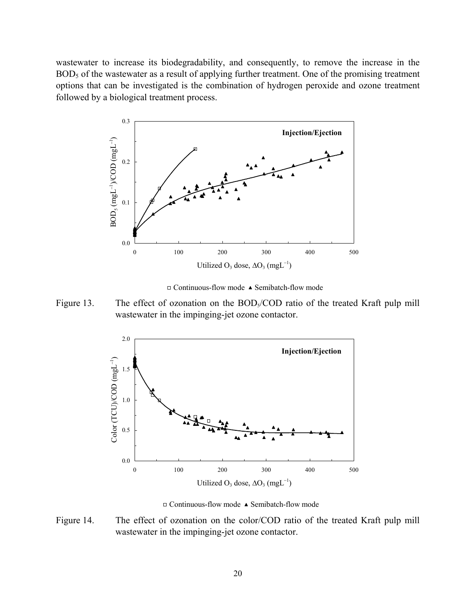wastewater to increase its biodegradability, and consequently, to remove the increase in the BOD<sub>5</sub> of the wastewater as a result of applying further treatment. One of the promising treatment options that can be investigated is the combination of hydrogen peroxide and ozone treatment followed by a biological treatment process.



 $\Box$  Continuous-flow mode  $\blacktriangle$  Semibatch-flow mode





 $\Box$  Continuous-flow mode  $\blacktriangle$  Semibatch-flow mode

Figure 14. The effect of ozonation on the color/COD ratio of the treated Kraft pulp mill wastewater in the impinging-jet ozone contactor.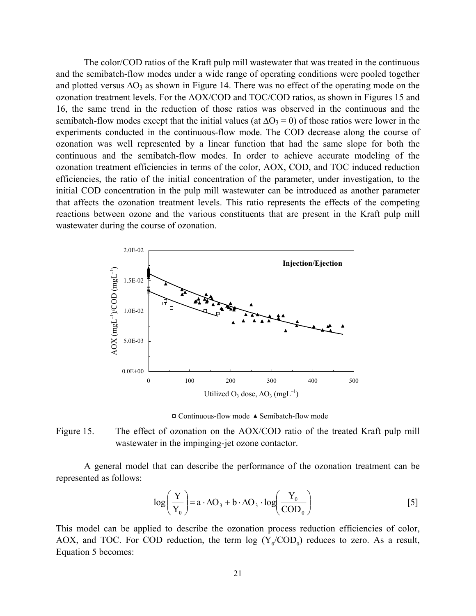The color/COD ratios of the Kraft pulp mill wastewater that was treated in the continuous and the semibatch-flow modes under a wide range of operating conditions were pooled together and plotted versus  $\Delta O_3$  as shown in Figure 14. There was no effect of the operating mode on the ozonation treatment levels. For the AOX/COD and TOC/COD ratios, as shown in Figures 15 and 16, the same trend in the reduction of those ratios was observed in the continuous and the semibatch-flow modes except that the initial values (at  $\Delta O_3 = 0$ ) of those ratios were lower in the experiments conducted in the continuous-flow mode. The COD decrease along the course of ozonation was well represented by a linear function that had the same slope for both the continuous and the semibatch-flow modes. In order to achieve accurate modeling of the ozonation treatment efficiencies in terms of the color, AOX, COD, and TOC induced reduction efficiencies, the ratio of the initial concentration of the parameter, under investigation, to the initial COD concentration in the pulp mill wastewater can be introduced as another parameter that affects the ozonation treatment levels. This ratio represents the effects of the competing reactions between ozone and the various constituents that are present in the Kraft pulp mill wastewater during the course of ozonation.



 $\Box$  Continuous-flow mode  $\blacktriangle$  Semibatch-flow mode

Figure 15. The effect of ozonation on the AOX/COD ratio of the treated Kraft pulp mill wastewater in the impinging-jet ozone contactor.

A general model that can describe the performance of the ozonation treatment can be represented as follows:

$$
\log\left(\frac{Y}{Y_0}\right) = a \cdot \Delta O_3 + b \cdot \Delta O_3 \cdot \log\left(\frac{Y_0}{COD_0}\right)
$$
 [5]

This model can be applied to describe the ozonation process reduction efficiencies of color, AOX, and TOC. For COD reduction, the term  $log (Y/COD_0)$  reduces to zero. As a result, Equation 5 becomes: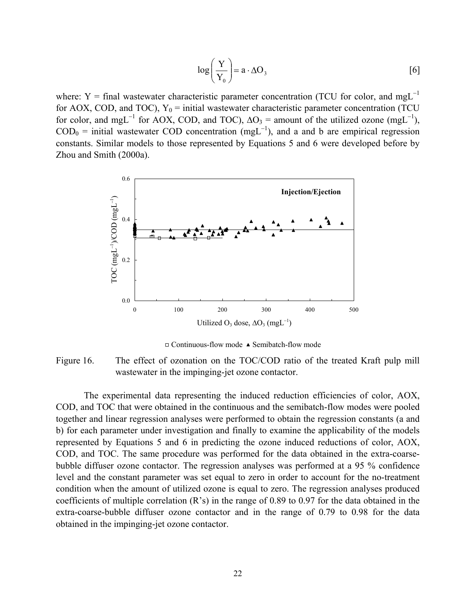$$
\log\left(\frac{Y}{Y_0}\right) = a \cdot \Delta O_3 \tag{6}
$$

where: Y = final wastewater characteristic parameter concentration (TCU for color, and mgL<sup>-1</sup> for AOX, COD, and TOC),  $Y_0$  = initial wastewater characteristic parameter concentration (TCU) for color, and mgL<sup>-1</sup> for AOX, COD, and TOC),  $\Delta O_3$  = amount of the utilized ozone (mgL<sup>-1</sup>),  $\text{COD}_0$  = initial wastewater COD concentration (mgL<sup>-1</sup>), and a and b are empirical regression constants. Similar models to those represented by Equations 5 and 6 were developed before by Zhou and Smith (2000a).



 $\Box$  Continuous-flow mode  $\triangle$  Semibatch-flow mode

Figure 16. The effect of ozonation on the TOC/COD ratio of the treated Kraft pulp mill wastewater in the impinging-jet ozone contactor.

The experimental data representing the induced reduction efficiencies of color, AOX, COD, and TOC that were obtained in the continuous and the semibatch-flow modes were pooled together and linear regression analyses were performed to obtain the regression constants (a and b) for each parameter under investigation and finally to examine the applicability of the models represented by Equations 5 and 6 in predicting the ozone induced reductions of color, AOX, COD, and TOC. The same procedure was performed for the data obtained in the extra-coarsebubble diffuser ozone contactor. The regression analyses was performed at a 95 % confidence level and the constant parameter was set equal to zero in order to account for the no-treatment condition when the amount of utilized ozone is equal to zero. The regression analyses produced coefficients of multiple correlation (R's) in the range of 0.89 to 0.97 for the data obtained in the extra-coarse-bubble diffuser ozone contactor and in the range of 0.79 to 0.98 for the data obtained in the impinging-jet ozone contactor.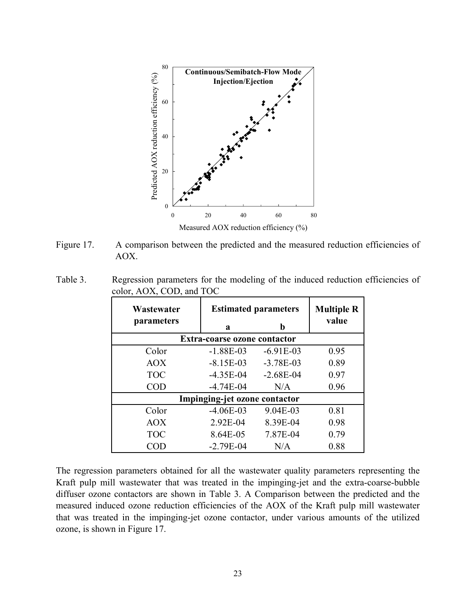

Figure 17. A comparison between the predicted and the measured reduction efficiencies of AOX.

| Table 3. | Regression parameters for the modeling of the induced reduction efficiencies of |  |  |  |  |
|----------|---------------------------------------------------------------------------------|--|--|--|--|
|          | color, AOX, COD, and TOC                                                        |  |  |  |  |

| Wastewater                          | <b>Estimated parameters</b> | <b>Multiple R</b> |       |  |  |  |  |
|-------------------------------------|-----------------------------|-------------------|-------|--|--|--|--|
| parameters                          | b<br>a                      |                   | value |  |  |  |  |
| <b>Extra-coarse ozone contactor</b> |                             |                   |       |  |  |  |  |
| Color                               | $-1.88E-03$                 | $-6.91E-03$       | 0.95  |  |  |  |  |
| <b>AOX</b>                          | $-8.15E-03$                 | $-3.78E - 03$     | 0.89  |  |  |  |  |
| <b>TOC</b>                          | $-4.35E-04$                 | $-2.68E - 04$     | 0.97  |  |  |  |  |
| <b>COD</b>                          | $-4.74E-04$                 | N/A               | 0.96  |  |  |  |  |
| Impinging-jet ozone contactor       |                             |                   |       |  |  |  |  |
| Color                               | $-4.06E-03$                 | 9.04E-03          | 0.81  |  |  |  |  |
| <b>AOX</b>                          | 2.92E-04                    | 8.39E-04          | 0.98  |  |  |  |  |
| <b>TOC</b>                          | 8.64E-05                    | 7.87E-04          | 0.79  |  |  |  |  |
| COD                                 | $-2.79E - 04$               | N/A               | 0.88  |  |  |  |  |

The regression parameters obtained for all the wastewater quality parameters representing the Kraft pulp mill wastewater that was treated in the impinging-jet and the extra-coarse-bubble diffuser ozone contactors are shown in Table 3. A Comparison between the predicted and the measured induced ozone reduction efficiencies of the AOX of the Kraft pulp mill wastewater that was treated in the impinging-jet ozone contactor, under various amounts of the utilized ozone, is shown in Figure 17.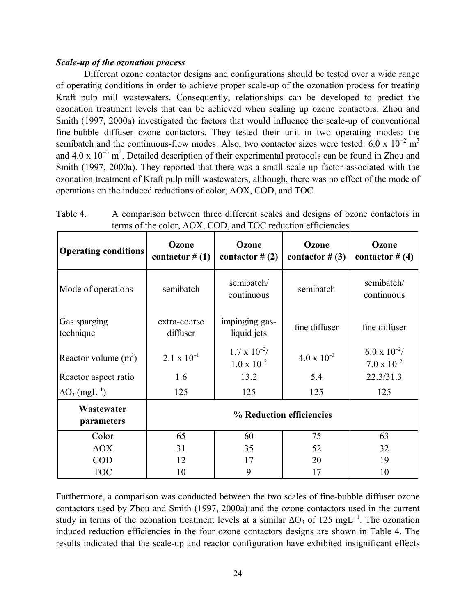# *Scale-up of the ozonation process*

Different ozone contactor designs and configurations should be tested over a wide range of operating conditions in order to achieve proper scale-up of the ozonation process for treating Kraft pulp mill wastewaters. Consequently, relationships can be developed to predict the ozonation treatment levels that can be achieved when scaling up ozone contactors. Zhou and Smith (1997, 2000a) investigated the factors that would influence the scale-up of conventional fine-bubble diffuser ozone contactors. They tested their unit in two operating modes: the semibatch and the continuous-flow modes. Also, two contactor sizes were tested: 6.0 x  $10^{-2}$  m<sup>3</sup> and 4.0 x  $10^{-3}$  m<sup>3</sup>. Detailed description of their experimental protocols can be found in Zhou and Smith (1997, 2000a). They reported that there was a small scale-up factor associated with the ozonation treatment of Kraft pulp mill wastewaters, although, there was no effect of the mode of operations on the induced reductions of color, AOX, COD, and TOC.

| <b>Operating conditions</b>       | Ozone<br>contactor $#(1)$ | Ozone<br>contactor $#(2)$                      | Ozone<br>contactor # $(3)$ | Ozone<br>contactor # $(4)$                     |
|-----------------------------------|---------------------------|------------------------------------------------|----------------------------|------------------------------------------------|
| Mode of operations                | semibatch                 | semibatch/<br>continuous                       | semibatch                  | semibatch/<br>continuous                       |
| Gas sparging<br>technique         | extra-coarse<br>diffuser  | impinging gas-<br>liquid jets                  | fine diffuser              | fine diffuser                                  |
| Reactor volume $(m^3)$            | $2.1 \times 10^{-1}$      | $1.7 \times 10^{-2}$ /<br>$1.0 \times 10^{-2}$ | $4.0 \times 10^{-3}$       | $6.0 \times 10^{-2}$ /<br>$7.0 \times 10^{-2}$ |
| Reactor aspect ratio              | 1.6                       | 13.2                                           | 5.4                        | 22.3/31.3                                      |
| $\Delta O_3$ (mgL <sup>-1</sup> ) | 125                       | 125                                            | 125                        | 125                                            |
| Wastewater<br>parameters          | % Reduction efficiencies  |                                                |                            |                                                |
| Color                             | 65                        | 60                                             | 75                         | 63                                             |
| <b>AOX</b>                        | 31                        | 35                                             | 52                         | 32                                             |
| <b>COD</b>                        | 12                        | 17                                             | 20                         | 19                                             |
| <b>TOC</b>                        | 10                        | 9                                              | 17                         | 10                                             |

Table 4. A comparison between three different scales and designs of ozone contactors in terms of the color, AOX, COD, and TOC reduction efficiencies

Furthermore, a comparison was conducted between the two scales of fine-bubble diffuser ozone contactors used by Zhou and Smith (1997, 2000a) and the ozone contactors used in the current study in terms of the ozonation treatment levels at a similar  $\Delta O_3$  of 125 mgL<sup>-1</sup>. The ozonation induced reduction efficiencies in the four ozone contactors designs are shown in Table 4. The results indicated that the scale-up and reactor configuration have exhibited insignificant effects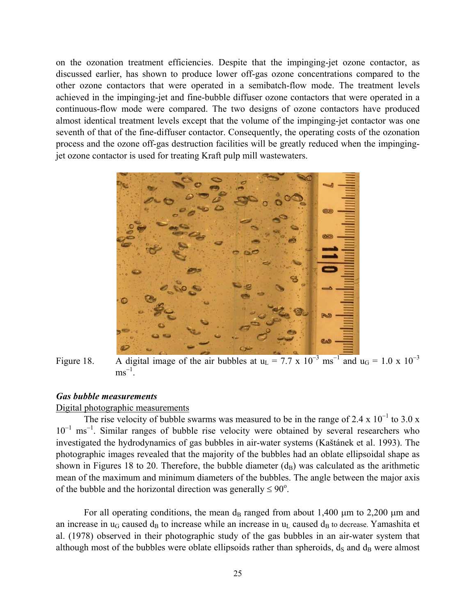on the ozonation treatment efficiencies. Despite that the impinging-jet ozone contactor, as discussed earlier, has shown to produce lower off-gas ozone concentrations compared to the other ozone contactors that were operated in a semibatch-flow mode. The treatment levels achieved in the impinging-jet and fine-bubble diffuser ozone contactors that were operated in a continuous-flow mode were compared. The two designs of ozone contactors have produced almost identical treatment levels except that the volume of the impinging-jet contactor was one seventh of that of the fine-diffuser contactor. Consequently, the operating costs of the ozonation process and the ozone off-gas destruction facilities will be greatly reduced when the impingingjet ozone contactor is used for treating Kraft pulp mill wastewaters.



Figure 18. A digital image of the air bubbles at  $u_L = 7.7 \times 10^{-3} \text{ ms}^{-1}$  and  $u_G = 1.0 \times 10^{-3}$  $\text{ms}^{-1}$ .

# *Gas bubble measurements*

#### Digital photographic measurements

The rise velocity of bubble swarms was measured to be in the range of 2.4 x  $10^{-1}$  to 3.0 x 10<sup>-1</sup> ms<sup>-1</sup>. Similar ranges of bubble rise velocity were obtained by several researchers who investigated the hydrodynamics of gas bubbles in air-water systems (Kaštánek et al. 1993). The photographic images revealed that the majority of the bubbles had an oblate ellipsoidal shape as shown in Figures 18 to 20. Therefore, the bubble diameter  $(d_B)$  was calculated as the arithmetic mean of the maximum and minimum diameters of the bubbles. The angle between the major axis of the bubble and the horizontal direction was generally  $\leq 90^{\circ}$ .

For all operating conditions, the mean  $d_B$  ranged from about 1,400  $\mu$ m to 2,200  $\mu$ m and an increase in  $u_G$  caused  $d_B$  to increase while an increase in  $u_L$  caused  $d_B$  to decrease. Yamashita et al. (1978) observed in their photographic study of the gas bubbles in an air-water system that although most of the bubbles were oblate ellipsoids rather than spheroids,  $d_S$  and  $d_B$  were almost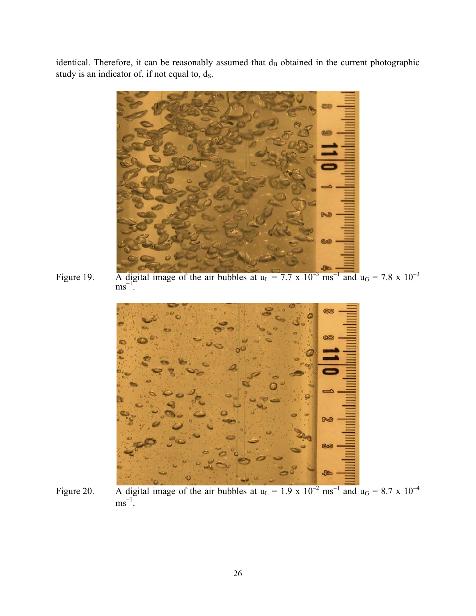identical. Therefore, it can be reasonably assumed that d<sub>B</sub> obtained in the current photographic study is an indicator of, if not equal to,  $d_S$ .



Figure 19. A digital image of the air bubbles at  $u_L = 7.7 \times 10^{-3} \text{ ms}^{-1}$  and  $u_G = 7.8 \times 10^{-3}$  $\text{ms}^{-1}$ <sup> $\text{C}$ </sup>



Figure 20. A digital image of the air bubbles at  $u_L = 1.9 \times 10^{-2} \text{ ms}^{-1}$  and  $u_G = 8.7 \times 10^{-4}$  $\text{ms}^{-1}$ .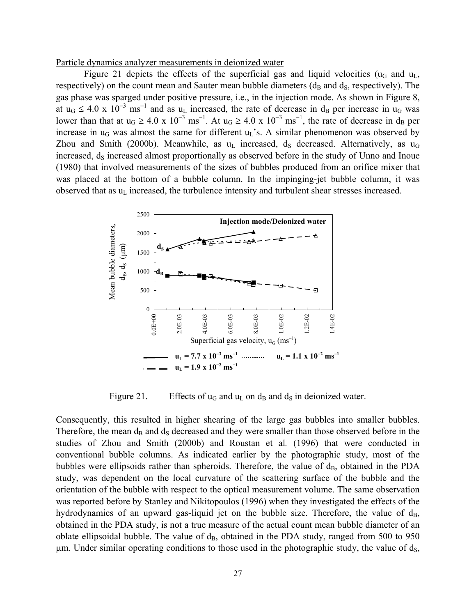Particle dynamics analyzer measurements in deionized water

Figure 21 depicts the effects of the superficial gas and liquid velocities ( $u_G$  and  $u_L$ , respectively) on the count mean and Sauter mean bubble diameters  $(d_B$  and  $d_S$ , respectively). The gas phase was sparged under positive pressure, i.e., in the injection mode. As shown in Figure 8, at  $u_G \le 4.0 \times 10^{-3}$  ms<sup>-1</sup> and as  $u_L$  increased, the rate of decrease in d<sub>B</sub> per increase in  $u_G$  was lower than that at  $u_G \ge 4.0 \times 10^{-3} \text{ ms}^{-1}$ . At  $u_G \ge 4.0 \times 10^{-3} \text{ ms}^{-1}$ , the rate of decrease in d<sub>B</sub> per increase in  $u_G$  was almost the same for different  $u_L$ 's. A similar phenomenon was observed by Zhou and Smith (2000b). Meanwhile, as  $u<sub>L</sub>$  increased,  $d<sub>S</sub>$  decreased. Alternatively, as  $u<sub>G</sub>$ increased,  $d_S$  increased almost proportionally as observed before in the study of Unno and Inoue (1980) that involved measurements of the sizes of bubbles produced from an orifice mixer that was placed at the bottom of a bubble column. In the impinging-jet bubble column, it was observed that as u<sub>L</sub> increased, the turbulence intensity and turbulent shear stresses increased.



Figure 21. Effects of  $u_G$  and  $u_L$  on  $d_B$  and  $d_S$  in deionized water.

Consequently, this resulted in higher shearing of the large gas bubbles into smaller bubbles. Therefore, the mean  $d_B$  and  $d_S$  decreased and they were smaller than those observed before in the studies of Zhou and Smith (2000b) and Roustan et al*.* (1996) that were conducted in conventional bubble columns. As indicated earlier by the photographic study, most of the bubbles were ellipsoids rather than spheroids. Therefore, the value of  $d_B$ , obtained in the PDA study, was dependent on the local curvature of the scattering surface of the bubble and the orientation of the bubble with respect to the optical measurement volume. The same observation was reported before by Stanley and Nikitopoulos (1996) when they investigated the effects of the hydrodynamics of an upward gas-liquid jet on the bubble size. Therefore, the value of  $d_B$ , obtained in the PDA study, is not a true measure of the actual count mean bubble diameter of an oblate ellipsoidal bubble. The value of  $d_B$ , obtained in the PDA study, ranged from 500 to 950  $\mu$ m. Under similar operating conditions to those used in the photographic study, the value of ds,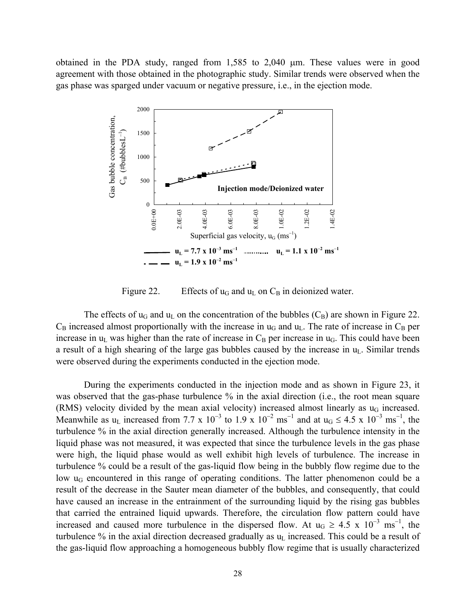obtained in the PDA study, ranged from 1,585 to 2,040 µm. These values were in good agreement with those obtained in the photographic study. Similar trends were observed when the gas phase was sparged under vacuum or negative pressure, i.e., in the ejection mode.



Figure 22. Effects of  $u_G$  and  $u_L$  on  $C_B$  in deionized water.

The effects of  $u_G$  and  $u_L$  on the concentration of the bubbles  $(C_B)$  are shown in Figure 22.  $C_B$  increased almost proportionally with the increase in  $u_G$  and  $u_L$ . The rate of increase in  $C_B$  per increase in  $u_L$  was higher than the rate of increase in  $C_B$  per increase in  $u_G$ . This could have been a result of a high shearing of the large gas bubbles caused by the increase in  $u<sub>L</sub>$ . Similar trends were observed during the experiments conducted in the ejection mode.

During the experiments conducted in the injection mode and as shown in Figure 23, it was observed that the gas-phase turbulence % in the axial direction (i.e., the root mean square (RMS) velocity divided by the mean axial velocity) increased almost linearly as  $u_G$  increased. Meanwhile as u<sub>L</sub> increased from 7.7 x 10<sup>-3</sup> to 1.9 x 10<sup>-2</sup> ms<sup>-1</sup> and at u<sub>G</sub>  $\leq 4.5$  x 10<sup>-3</sup> ms<sup>-1</sup>, the turbulence % in the axial direction generally increased. Although the turbulence intensity in the liquid phase was not measured, it was expected that since the turbulence levels in the gas phase were high, the liquid phase would as well exhibit high levels of turbulence. The increase in turbulence % could be a result of the gas-liquid flow being in the bubbly flow regime due to the low u<sub>G</sub> encountered in this range of operating conditions. The latter phenomenon could be a result of the decrease in the Sauter mean diameter of the bubbles, and consequently, that could have caused an increase in the entrainment of the surrounding liquid by the rising gas bubbles that carried the entrained liquid upwards. Therefore, the circulation flow pattern could have increased and caused more turbulence in the dispersed flow. At  $u_G \ge 4.5 \times 10^{-3} \text{ ms}^{-1}$ , the turbulence % in the axial direction decreased gradually as  $u<sub>L</sub>$  increased. This could be a result of the gas-liquid flow approaching a homogeneous bubbly flow regime that is usually characterized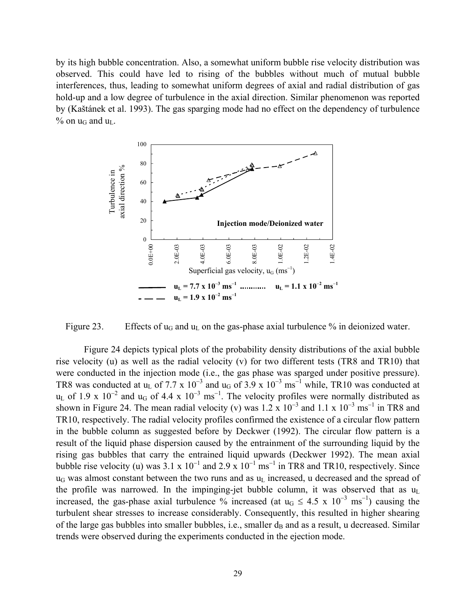by its high bubble concentration. Also, a somewhat uniform bubble rise velocity distribution was observed. This could have led to rising of the bubbles without much of mutual bubble interferences, thus, leading to somewhat uniform degrees of axial and radial distribution of gas hold-up and a low degree of turbulence in the axial direction. Similar phenomenon was reported by (Kaštánek et al. 1993). The gas sparging mode had no effect on the dependency of turbulence  $%$  on  $u_G$  and  $u_L$ .



Figure 23. Effects of  $u_G$  and  $u_L$  on the gas-phase axial turbulence % in deionized water.

Figure 24 depicts typical plots of the probability density distributions of the axial bubble rise velocity (u) as well as the radial velocity (v) for two different tests (TR8 and TR10) that were conducted in the injection mode (i.e., the gas phase was sparged under positive pressure). TR8 was conducted at u<sub>L</sub> of 7.7 x 10<sup>-3</sup> and u<sub>G</sub> of 3.9 x 10<sup>-3</sup> ms<sup>-1</sup> while, TR10 was conducted at  $u<sub>L</sub>$  of 1.9 x 10<sup>-2</sup> and  $u<sub>G</sub>$  of 4.4 x 10<sup>-3</sup> ms<sup>-1</sup>. The velocity profiles were normally distributed as shown in Figure 24. The mean radial velocity (v) was  $1.2 \times 10^{-3}$  and  $1.1 \times 10^{-3}$  ms<sup>-1</sup> in TR8 and TR10, respectively. The radial velocity profiles confirmed the existence of a circular flow pattern in the bubble column as suggested before by Deckwer (1992). The circular flow pattern is a result of the liquid phase dispersion caused by the entrainment of the surrounding liquid by the rising gas bubbles that carry the entrained liquid upwards (Deckwer 1992). The mean axial bubble rise velocity (u) was  $3.1 \times 10^{-1}$  and  $2.9 \times 10^{-1}$  ms<sup>-1</sup> in TR8 and TR10, respectively. Since  $u_G$  was almost constant between the two runs and as  $u_L$  increased, u decreased and the spread of the profile was narrowed. In the impinging-jet bubble column, it was observed that as  $u_L$ increased, the gas-phase axial turbulence % increased (at  $u_G \le 4.5 \times 10^{-3} \text{ ms}^{-1}$ ) causing the turbulent shear stresses to increase considerably. Consequently, this resulted in higher shearing of the large gas bubbles into smaller bubbles, i.e., smaller  $d_B$  and as a result, u decreased. Similar trends were observed during the experiments conducted in the ejection mode.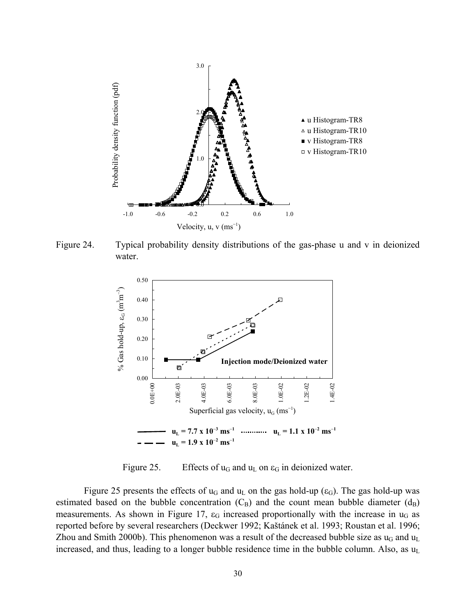

Figure 24. Typical probability density distributions of the gas-phase u and v in deionized water.



Figure 25. Effects of  $u_G$  and  $u_L$  on  $\varepsilon_G$  in deionized water.

Figure 25 presents the effects of  $u_G$  and  $u_L$  on the gas hold-up ( $\varepsilon_G$ ). The gas hold-up was estimated based on the bubble concentration  $(C_B)$  and the count mean bubble diameter  $(d_B)$ measurements. As shown in Figure 17,  $\varepsilon_G$  increased proportionally with the increase in  $u_G$  as reported before by several researchers (Deckwer 1992; Kaštánek et al. 1993; Roustan et al. 1996; Zhou and Smith 2000b). This phenomenon was a result of the decreased bubble size as  $u_G$  and  $u_L$ increased, and thus, leading to a longer bubble residence time in the bubble column. Also, as  $u_L$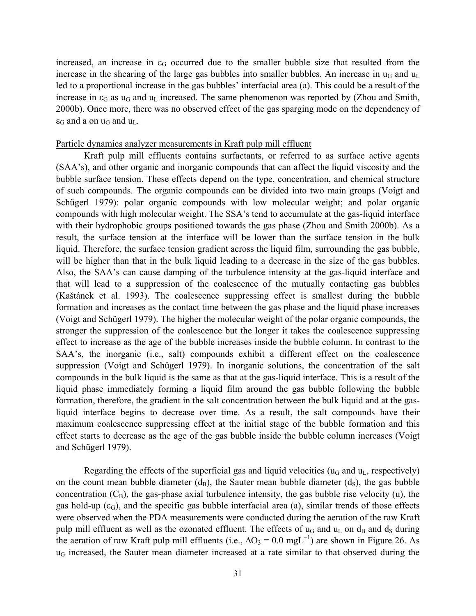increased, an increase in  $\varepsilon_G$  occurred due to the smaller bubble size that resulted from the increase in the shearing of the large gas bubbles into smaller bubbles. An increase in  $u_G$  and  $u_L$ led to a proportional increase in the gas bubbles' interfacial area (a). This could be a result of the increase in  $\varepsilon_G$  as  $u_G$  and  $u_L$  increased. The same phenomenon was reported by (Zhou and Smith, 2000b). Once more, there was no observed effect of the gas sparging mode on the dependency of  $\varepsilon_G$  and a on  $u_G$  and  $u_L$ .

#### Particle dynamics analyzer measurements in Kraft pulp mill effluent

Kraft pulp mill effluents contains surfactants, or referred to as surface active agents (SAA's), and other organic and inorganic compounds that can affect the liquid viscosity and the bubble surface tension. These effects depend on the type, concentration, and chemical structure of such compounds. The organic compounds can be divided into two main groups (Voigt and Schügerl 1979): polar organic compounds with low molecular weight; and polar organic compounds with high molecular weight. The SSA's tend to accumulate at the gas-liquid interface with their hydrophobic groups positioned towards the gas phase (Zhou and Smith 2000b). As a result, the surface tension at the interface will be lower than the surface tension in the bulk liquid. Therefore, the surface tension gradient across the liquid film, surrounding the gas bubble, will be higher than that in the bulk liquid leading to a decrease in the size of the gas bubbles. Also, the SAA's can cause damping of the turbulence intensity at the gas-liquid interface and that will lead to a suppression of the coalescence of the mutually contacting gas bubbles (Kaštánek et al. 1993). The coalescence suppressing effect is smallest during the bubble formation and increases as the contact time between the gas phase and the liquid phase increases (Voigt and Schügerl 1979). The higher the molecular weight of the polar organic compounds, the stronger the suppression of the coalescence but the longer it takes the coalescence suppressing effect to increase as the age of the bubble increases inside the bubble column. In contrast to the SAA's, the inorganic (i.e., salt) compounds exhibit a different effect on the coalescence suppression (Voigt and Schügerl 1979). In inorganic solutions, the concentration of the salt compounds in the bulk liquid is the same as that at the gas-liquid interface. This is a result of the liquid phase immediately forming a liquid film around the gas bubble following the bubble formation, therefore, the gradient in the salt concentration between the bulk liquid and at the gasliquid interface begins to decrease over time. As a result, the salt compounds have their maximum coalescence suppressing effect at the initial stage of the bubble formation and this effect starts to decrease as the age of the gas bubble inside the bubble column increases (Voigt and Schügerl 1979).

Regarding the effects of the superficial gas and liquid velocities ( $u_G$  and  $u_L$ , respectively) on the count mean bubble diameter  $(d_B)$ , the Sauter mean bubble diameter  $(d_S)$ , the gas bubble concentration  $(C_B)$ , the gas-phase axial turbulence intensity, the gas bubble rise velocity (u), the gas hold-up  $(\epsilon_G)$ , and the specific gas bubble interfacial area (a), similar trends of those effects were observed when the PDA measurements were conducted during the aeration of the raw Kraft pulp mill effluent as well as the ozonated effluent. The effects of  $u_G$  and  $u_L$  on  $d_B$  and  $d_S$  during the aeration of raw Kraft pulp mill effluents (i.e.,  $\Delta O_3 = 0.0 \text{ mgL}^{-1}$ ) are shown in Figure 26. As  $u_G$  increased, the Sauter mean diameter increased at a rate similar to that observed during the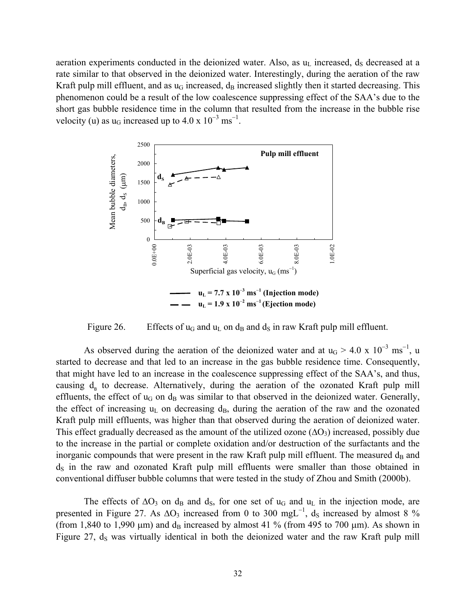aeration experiments conducted in the deionized water. Also, as  $u<sub>L</sub>$  increased,  $d<sub>S</sub>$  decreased at a rate similar to that observed in the deionized water. Interestingly, during the aeration of the raw Kraft pulp mill effluent, and as  $u_G$  increased,  $d_B$  increased slightly then it started decreasing. This phenomenon could be a result of the low coalescence suppressing effect of the SAA's due to the short gas bubble residence time in the column that resulted from the increase in the bubble rise velocity (u) as  $u_G$  increased up to 4.0 x  $10^{-3}$  ms<sup>-1</sup>.



Figure 26. Effects of  $u_G$  and  $u_L$  on  $d_B$  and  $d_S$  in raw Kraft pulp mill effluent.

As observed during the aeration of the deionized water and at  $u_G > 4.0 \times 10^{-3} \text{ ms}^{-1}$ , u started to decrease and that led to an increase in the gas bubble residence time. Consequently, that might have led to an increase in the coalescence suppressing effect of the SAA's, and thus, causing  $d_a$  to decrease. Alternatively, during the aeration of the ozonated Kraft pulp mill effluents, the effect of  $u_G$  on  $d_B$  was similar to that observed in the deionized water. Generally, the effect of increasing  $u_L$  on decreasing  $d_B$ , during the aeration of the raw and the ozonated Kraft pulp mill effluents, was higher than that observed during the aeration of deionized water. This effect gradually decreased as the amount of the utilized ozone  $(\Delta O_3)$  increased, possibly due to the increase in the partial or complete oxidation and/or destruction of the surfactants and the inorganic compounds that were present in the raw Kraft pulp mill effluent. The measured  $d_B$  and  $d<sub>S</sub>$  in the raw and ozonated Kraft pulp mill effluents were smaller than those obtained in conventional diffuser bubble columns that were tested in the study of Zhou and Smith (2000b).

The effects of  $\Delta O_3$  on d<sub>B</sub> and d<sub>S</sub>, for one set of u<sub>G</sub> and u<sub>L</sub> in the injection mode, are presented in Figure 27. As  $\Delta O_3$  increased from 0 to 300 mgL<sup>-1</sup>, d<sub>S</sub> increased by almost 8 % (from 1,840 to 1,990  $\mu$ m) and d<sub>B</sub> increased by almost 41 % (from 495 to 700  $\mu$ m). As shown in Figure 27,  $d_s$  was virtually identical in both the deionized water and the raw Kraft pulp mill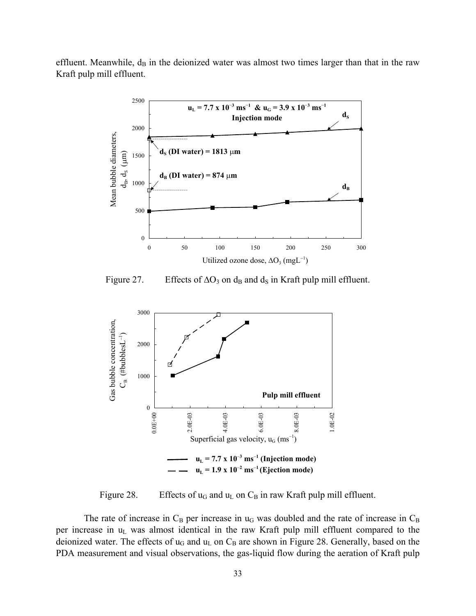effluent. Meanwhile,  $d_B$  in the deionized water was almost two times larger than that in the raw Kraft pulp mill effluent.



Figure 27. Effects of  $\Delta O_3$  on d<sub>B</sub> and d<sub>S</sub> in Kraft pulp mill effluent.



Figure 28. Effects of  $u_G$  and  $u_L$  on  $C_B$  in raw Kraft pulp mill effluent.

The rate of increase in  $C_B$  per increase in  $u_G$  was doubled and the rate of increase in  $C_B$ per increase in  $u<sub>L</sub>$  was almost identical in the raw Kraft pulp mill effluent compared to the deionized water. The effects of  $u_G$  and  $u_L$  on  $C_B$  are shown in Figure 28. Generally, based on the PDA measurement and visual observations, the gas-liquid flow during the aeration of Kraft pulp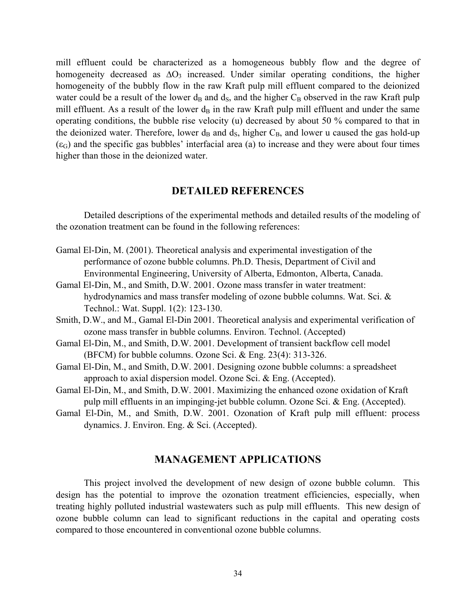mill effluent could be characterized as a homogeneous bubbly flow and the degree of homogeneity decreased as  $\Delta O_3$  increased. Under similar operating conditions, the higher homogeneity of the bubbly flow in the raw Kraft pulp mill effluent compared to the deionized water could be a result of the lower  $d_B$  and  $d_S$ , and the higher  $C_B$  observed in the raw Kraft pulp mill effluent. As a result of the lower  $d_B$  in the raw Kraft pulp mill effluent and under the same operating conditions, the bubble rise velocity (u) decreased by about 50 % compared to that in the deionized water. Therefore, lower  $d_B$  and  $d_S$ , higher  $C_B$ , and lower u caused the gas hold-up  $(\epsilon_{\rm G})$  and the specific gas bubbles' interfacial area (a) to increase and they were about four times higher than those in the deionized water.

# **DETAILED REFERENCES**

Detailed descriptions of the experimental methods and detailed results of the modeling of the ozonation treatment can be found in the following references:

- Gamal El-Din, M. (2001). Theoretical analysis and experimental investigation of the performance of ozone bubble columns. Ph.D. Thesis, Department of Civil and Environmental Engineering, University of Alberta, Edmonton, Alberta, Canada.
- Gamal El-Din, M., and Smith, D.W. 2001. Ozone mass transfer in water treatment: hydrodynamics and mass transfer modeling of ozone bubble columns. Wat. Sci. & Technol.: Wat. Suppl. 1(2): 123-130.
- Smith, D.W., and M., Gamal El-Din 2001. Theoretical analysis and experimental verification of ozone mass transfer in bubble columns. Environ. Technol. (Accepted)
- Gamal El-Din, M., and Smith, D.W. 2001. Development of transient backflow cell model (BFCM) for bubble columns. Ozone Sci. & Eng. 23(4): 313-326.
- Gamal El-Din, M., and Smith, D.W. 2001. Designing ozone bubble columns: a spreadsheet approach to axial dispersion model. Ozone Sci. & Eng. (Accepted).
- Gamal El-Din, M., and Smith, D.W. 2001. Maximizing the enhanced ozone oxidation of Kraft pulp mill effluents in an impinging-jet bubble column. Ozone Sci. & Eng. (Accepted).
- Gamal El-Din, M., and Smith, D.W. 2001. Ozonation of Kraft pulp mill effluent: process dynamics. J. Environ. Eng. & Sci. (Accepted).

# **MANAGEMENT APPLICATIONS**

This project involved the development of new design of ozone bubble column. This design has the potential to improve the ozonation treatment efficiencies, especially, when treating highly polluted industrial wastewaters such as pulp mill effluents. This new design of ozone bubble column can lead to significant reductions in the capital and operating costs compared to those encountered in conventional ozone bubble columns.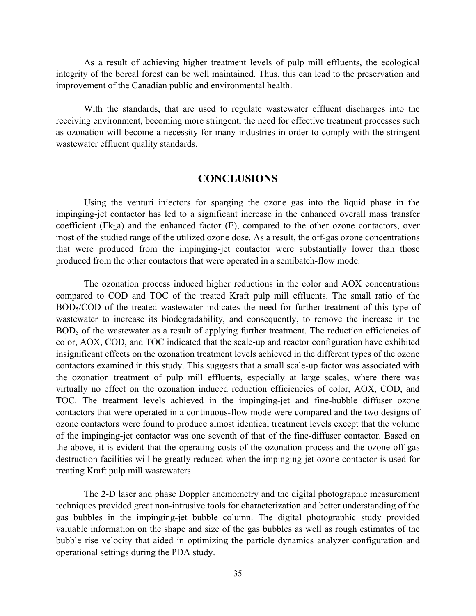As a result of achieving higher treatment levels of pulp mill effluents, the ecological integrity of the boreal forest can be well maintained. Thus, this can lead to the preservation and improvement of the Canadian public and environmental health.

With the standards, that are used to regulate wastewater effluent discharges into the receiving environment, becoming more stringent, the need for effective treatment processes such as ozonation will become a necessity for many industries in order to comply with the stringent wastewater effluent quality standards.

# **CONCLUSIONS**

Using the venturi injectors for sparging the ozone gas into the liquid phase in the impinging-jet contactor has led to a significant increase in the enhanced overall mass transfer coefficient ( $Ek<sub>L</sub>a$ ) and the enhanced factor ( $E$ ), compared to the other ozone contactors, over most of the studied range of the utilized ozone dose. As a result, the off-gas ozone concentrations that were produced from the impinging-jet contactor were substantially lower than those produced from the other contactors that were operated in a semibatch-flow mode.

The ozonation process induced higher reductions in the color and AOX concentrations compared to COD and TOC of the treated Kraft pulp mill effluents. The small ratio of the BOD5/COD of the treated wastewater indicates the need for further treatment of this type of wastewater to increase its biodegradability, and consequently, to remove the increase in the BOD<sub>5</sub> of the wastewater as a result of applying further treatment. The reduction efficiencies of color, AOX, COD, and TOC indicated that the scale-up and reactor configuration have exhibited insignificant effects on the ozonation treatment levels achieved in the different types of the ozone contactors examined in this study. This suggests that a small scale-up factor was associated with the ozonation treatment of pulp mill effluents, especially at large scales, where there was virtually no effect on the ozonation induced reduction efficiencies of color, AOX, COD, and TOC. The treatment levels achieved in the impinging-jet and fine-bubble diffuser ozone contactors that were operated in a continuous-flow mode were compared and the two designs of ozone contactors were found to produce almost identical treatment levels except that the volume of the impinging-jet contactor was one seventh of that of the fine-diffuser contactor. Based on the above, it is evident that the operating costs of the ozonation process and the ozone off-gas destruction facilities will be greatly reduced when the impinging-jet ozone contactor is used for treating Kraft pulp mill wastewaters.

The 2-D laser and phase Doppler anemometry and the digital photographic measurement techniques provided great non-intrusive tools for characterization and better understanding of the gas bubbles in the impinging-jet bubble column. The digital photographic study provided valuable information on the shape and size of the gas bubbles as well as rough estimates of the bubble rise velocity that aided in optimizing the particle dynamics analyzer configuration and operational settings during the PDA study.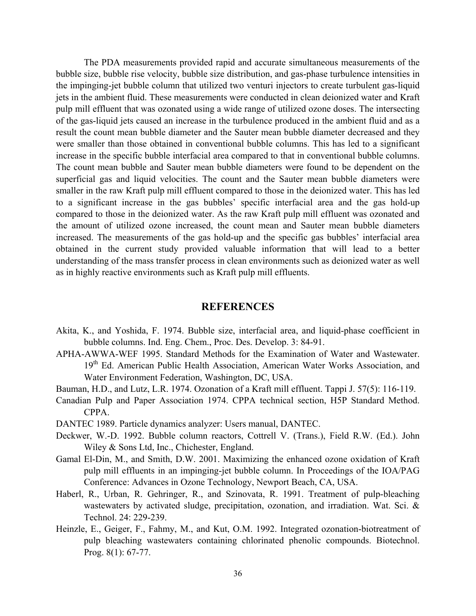The PDA measurements provided rapid and accurate simultaneous measurements of the bubble size, bubble rise velocity, bubble size distribution, and gas-phase turbulence intensities in the impinging-jet bubble column that utilized two venturi injectors to create turbulent gas-liquid jets in the ambient fluid. These measurements were conducted in clean deionized water and Kraft pulp mill effluent that was ozonated using a wide range of utilized ozone doses. The intersecting of the gas-liquid jets caused an increase in the turbulence produced in the ambient fluid and as a result the count mean bubble diameter and the Sauter mean bubble diameter decreased and they were smaller than those obtained in conventional bubble columns. This has led to a significant increase in the specific bubble interfacial area compared to that in conventional bubble columns. The count mean bubble and Sauter mean bubble diameters were found to be dependent on the superficial gas and liquid velocities. The count and the Sauter mean bubble diameters were smaller in the raw Kraft pulp mill effluent compared to those in the deionized water. This has led to a significant increase in the gas bubbles' specific interfacial area and the gas hold-up compared to those in the deionized water. As the raw Kraft pulp mill effluent was ozonated and the amount of utilized ozone increased, the count mean and Sauter mean bubble diameters increased. The measurements of the gas hold-up and the specific gas bubbles' interfacial area obtained in the current study provided valuable information that will lead to a better understanding of the mass transfer process in clean environments such as deionized water as well as in highly reactive environments such as Kraft pulp mill effluents.

#### **REFERENCES**

- Akita, K., and Yoshida, F. 1974. Bubble size, interfacial area, and liquid-phase coefficient in bubble columns. Ind. Eng. Chem., Proc. Des. Develop. 3: 84-91.
- APHA-AWWA-WEF 1995. Standard Methods for the Examination of Water and Wastewater. 19<sup>th</sup> Ed. American Public Health Association, American Water Works Association, and Water Environment Federation, Washington, DC, USA.
- Bauman, H.D., and Lutz, L.R. 1974. Ozonation of a Kraft mill effluent. Tappi J. 57(5): 116-119.
- Canadian Pulp and Paper Association 1974. CPPA technical section, H5P Standard Method. CPPA.
- DANTEC 1989. Particle dynamics analyzer: Users manual, DANTEC.
- Deckwer, W.-D. 1992. Bubble column reactors, Cottrell V. (Trans.), Field R.W. (Ed.). John Wiley & Sons Ltd, Inc., Chichester, England.
- Gamal El-Din, M., and Smith, D.W. 2001. Maximizing the enhanced ozone oxidation of Kraft pulp mill effluents in an impinging-jet bubble column. In Proceedings of the IOA/PAG Conference: Advances in Ozone Technology, Newport Beach, CA, USA.
- Haberl, R., Urban, R. Gehringer, R., and Szinovata, R. 1991. Treatment of pulp-bleaching wastewaters by activated sludge, precipitation, ozonation, and irradiation. Wat. Sci. & Technol. 24: 229-239.
- Heinzle, E., Geiger, F., Fahmy, M., and Kut, O.M. 1992. Integrated ozonation-biotreatment of pulp bleaching wastewaters containing chlorinated phenolic compounds. Biotechnol. Prog. 8(1): 67-77.